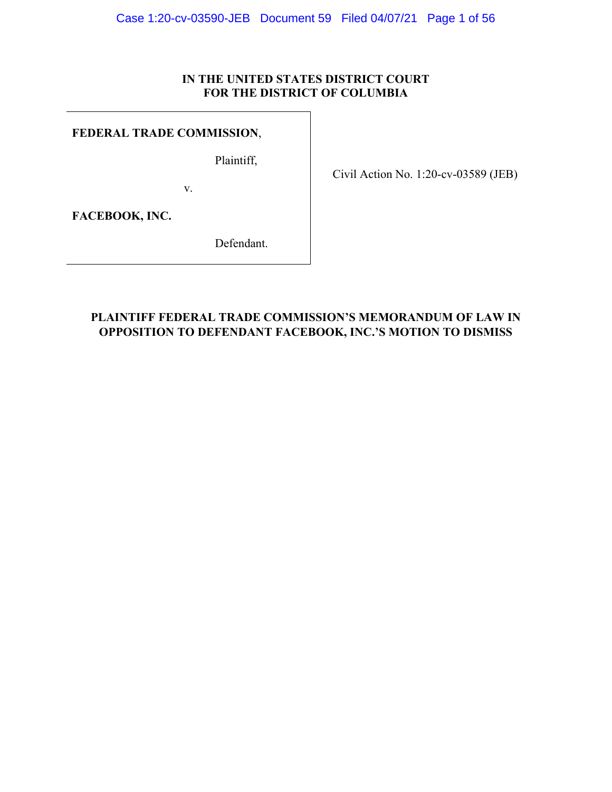# **IN THE UNITED STATES DISTRICT COURT FOR THE DISTRICT OF COLUMBIA**

# **FEDERAL TRADE COMMISSION**,

Plaintiff,

v.

Civil Action No. 1:20-cv-03589 (JEB)

**FACEBOOK, INC.** 

Defendant.

# **PLAINTIFF FEDERAL TRADE COMMISSION'S MEMORANDUM OF LAW IN OPPOSITION TO DEFENDANT FACEBOOK, INC.'S MOTION TO DISMISS**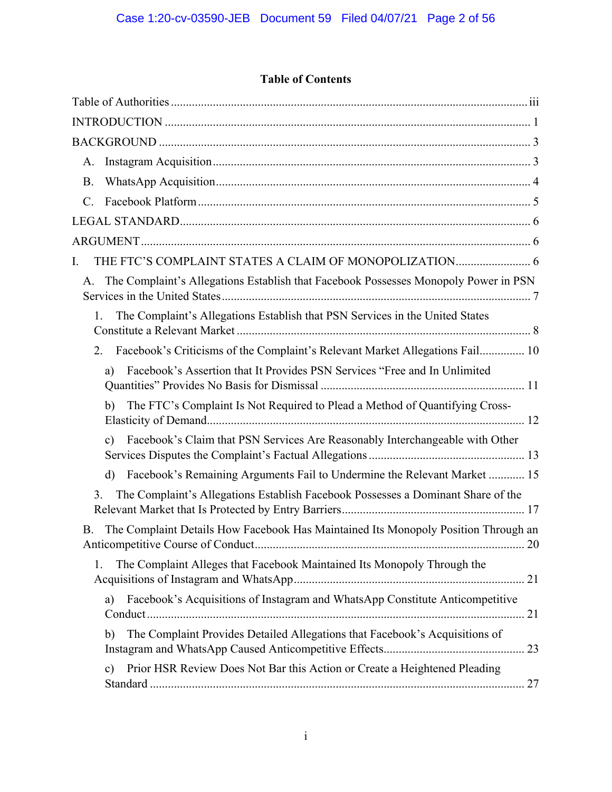# **Table of Contents**

<span id="page-1-0"></span>

| А.                                                                                              |
|-------------------------------------------------------------------------------------------------|
| <b>B.</b>                                                                                       |
| C.                                                                                              |
|                                                                                                 |
|                                                                                                 |
| I.                                                                                              |
| The Complaint's Allegations Establish that Facebook Possesses Monopoly Power in PSN<br>А.       |
| The Complaint's Allegations Establish that PSN Services in the United States<br>1.              |
| Facebook's Criticisms of the Complaint's Relevant Market Allegations Fail 10<br>2.              |
| Facebook's Assertion that It Provides PSN Services "Free and In Unlimited<br>a)                 |
| The FTC's Complaint Is Not Required to Plead a Method of Quantifying Cross-<br>b)               |
| Facebook's Claim that PSN Services Are Reasonably Interchangeable with Other<br>$\mathbf{c})$   |
| Facebook's Remaining Arguments Fail to Undermine the Relevant Market  15<br>d)                  |
| The Complaint's Allegations Establish Facebook Possesses a Dominant Share of the<br>3.          |
| The Complaint Details How Facebook Has Maintained Its Monopoly Position Through an<br><b>B.</b> |
| The Complaint Alleges that Facebook Maintained Its Monopoly Through the<br>1.                   |
| Facebook's Acquisitions of Instagram and WhatsApp Constitute Anticompetitive<br>a)              |
| The Complaint Provides Detailed Allegations that Facebook's Acquisitions of<br>b)               |
| Prior HSR Review Does Not Bar this Action or Create a Heightened Pleading<br>$\mathbf{c})$      |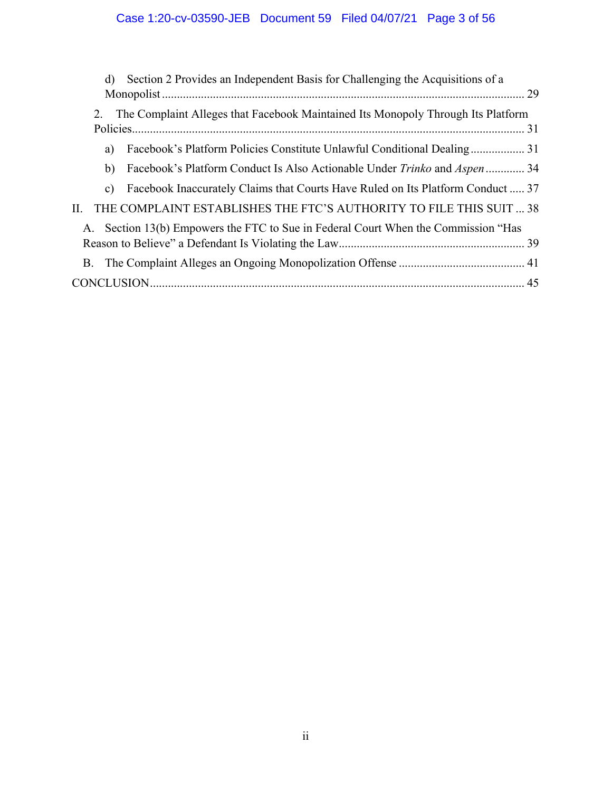# Case 1:20-cv-03590-JEB Document 59 Filed 04/07/21 Page 3 of 56

<span id="page-2-0"></span>

| Section 2 Provides an Independent Basis for Challenging the Acquisitions of a<br>d)    |
|----------------------------------------------------------------------------------------|
| The Complaint Alleges that Facebook Maintained Its Monopoly Through Its Platform<br>2. |
| Facebook's Platform Policies Constitute Unlawful Conditional Dealing 31<br>a)          |
| Facebook's Platform Conduct Is Also Actionable Under Trinko and Aspen  34<br>b)        |
| Facebook Inaccurately Claims that Courts Have Ruled on Its Platform Conduct  37<br>c)  |
| II. THE COMPLAINT ESTABLISHES THE FTC'S AUTHORITY TO FILE THIS SUIT  38                |
| Section 13(b) Empowers the FTC to Sue in Federal Court When the Commission "Has<br>A.  |
| B.                                                                                     |
|                                                                                        |
|                                                                                        |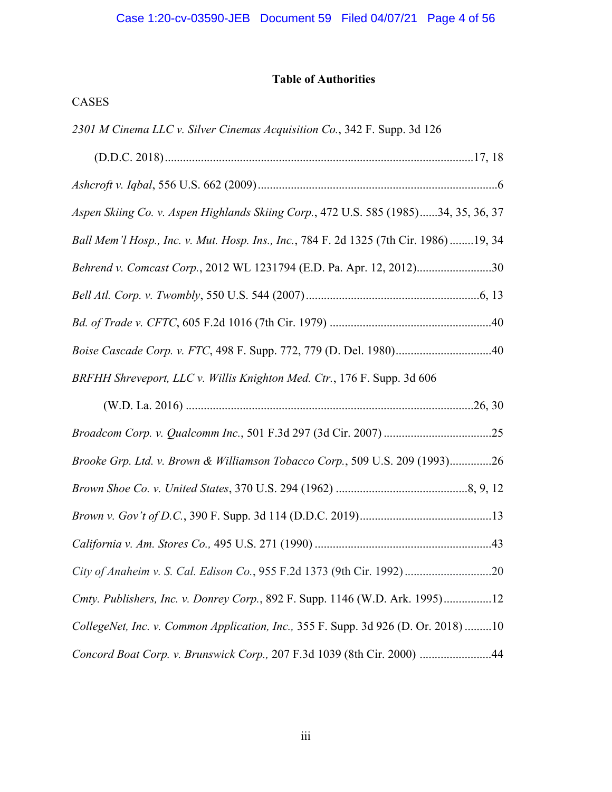# **Table of Authorities**

#### <span id="page-3-0"></span>CASES

| 2301 M Cinema LLC v. Silver Cinemas Acquisition Co., 342 F. Supp. 3d 126              |
|---------------------------------------------------------------------------------------|
|                                                                                       |
|                                                                                       |
| Aspen Skiing Co. v. Aspen Highlands Skiing Corp., 472 U.S. 585 (1985)34, 35, 36, 37   |
| Ball Mem'l Hosp., Inc. v. Mut. Hosp. Ins., Inc., 784 F. 2d 1325 (7th Cir. 1986)19, 34 |
| Behrend v. Comcast Corp., 2012 WL 1231794 (E.D. Pa. Apr. 12, 2012)30                  |
|                                                                                       |
|                                                                                       |
| Boise Cascade Corp. v. FTC, 498 F. Supp. 772, 779 (D. Del. 1980)40                    |
| BRFHH Shreveport, LLC v. Willis Knighton Med. Ctr., 176 F. Supp. 3d 606               |
|                                                                                       |

(W.D. La. 2016) ................................................................................................26, [30](#page-39-0)  *Broadcom Corp. v. Qualcomm Inc.*[, 501 F.3d 297 \(3d Cir. 2007\) ....................................25](#page-34-0) *[Brooke Grp. Ltd. v. Brown & Williamson Tobacco Corp.](#page-35-0)*, 509 U.S. 209 (1993) ..............26 *Brown Shoe Co. v. United States*[, 370 U.S. 294 \(1962\) ............................................8, 9, 12](#page-21-0)  *Brown v. Gov't of D.C.*[, 390 F. Supp. 3d 114 \(D.D.C. 2019\) ............................................13](#page-22-0)  *California v. Am. Stores Co.,* [495 U.S. 271 \(1990\) ...........................................................43](#page-52-0) *City of Anaheim v. S. Cal. Edison Co.*[, 955 F.2d 1373 \(9th Cir. 1992\) .............................20](#page-29-0)  *Cmty. Publishers, Inc. v. Donrey Corp.*[, 892 F. Supp. 1146 \(W.D. Ark. 1995\) ................12](#page-21-0)  *[CollegeNet, Inc. v. Common Application, Inc.,](#page-19-0)* 355 F. Supp. 3d 926 (D. Or. 2018) .........10 *Concord Boat Corp. v. Brunswick Corp.,* [207 F.3d 1039 \(8th Cir. 2000\) ........................44](#page-53-0)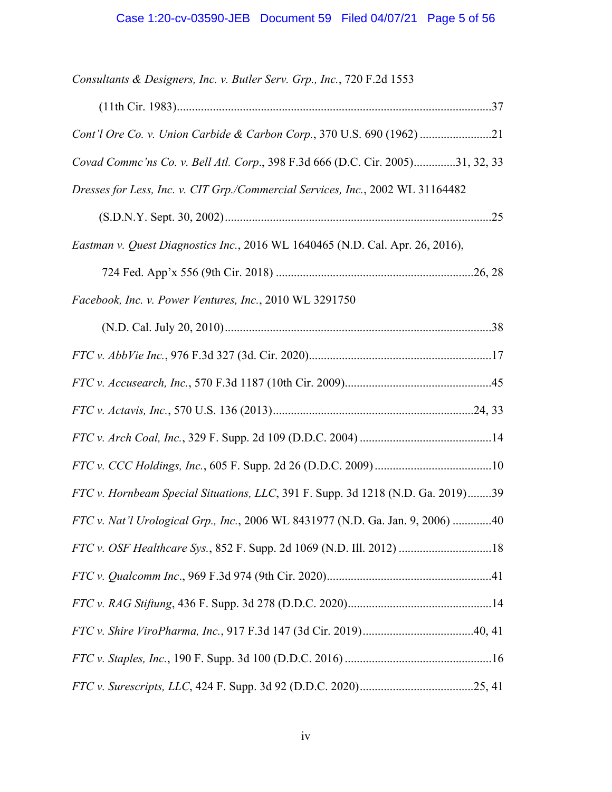| Consultants & Designers, Inc. v. Butler Serv. Grp., Inc., 720 F.2d 1553         |
|---------------------------------------------------------------------------------|
|                                                                                 |
| Cont'l Ore Co. v. Union Carbide & Carbon Corp., 370 U.S. 690 (1962) 21          |
| Covad Commc'ns Co. v. Bell Atl. Corp., 398 F.3d 666 (D.C. Cir. 2005)31, 32, 33  |
| Dresses for Less, Inc. v. CIT Grp./Commercial Services, Inc., 2002 WL 31164482  |
|                                                                                 |
| Eastman v. Quest Diagnostics Inc., 2016 WL 1640465 (N.D. Cal. Apr. 26, 2016),   |
|                                                                                 |
| Facebook, Inc. v. Power Ventures, Inc., 2010 WL 3291750                         |
|                                                                                 |
|                                                                                 |
|                                                                                 |
|                                                                                 |
|                                                                                 |
|                                                                                 |
| FTC v. Hornbeam Special Situations, LLC, 391 F. Supp. 3d 1218 (N.D. Ga. 2019)39 |
| FTC v. Nat'l Urological Grp., Inc., 2006 WL 8431977 (N.D. Ga. Jan. 9, 2006) 40  |
|                                                                                 |
|                                                                                 |
|                                                                                 |
|                                                                                 |
|                                                                                 |
|                                                                                 |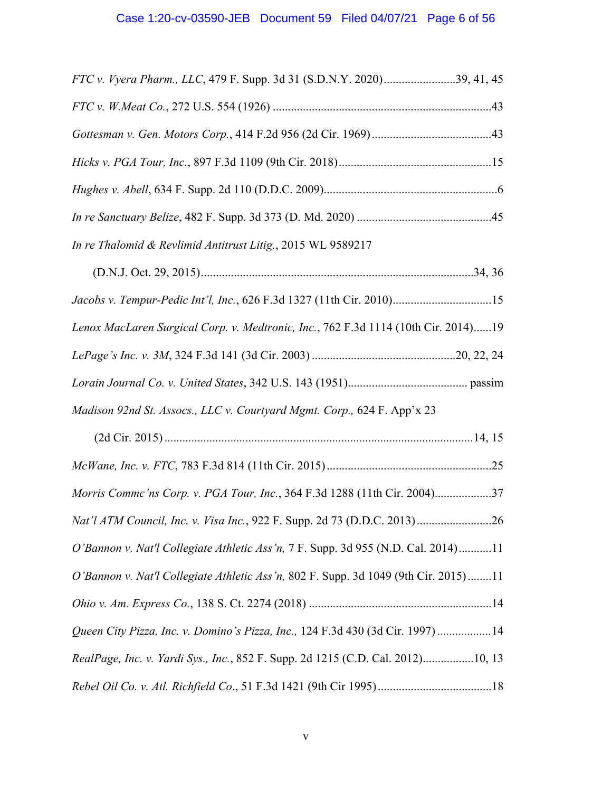# Case 1:20-cv-03590-JEB Document 59 Filed 04/07/21 Page 6 of 56

| FTC v. Vyera Pharm., LLC, 479 F. Supp. 3d 31 (S.D.N.Y. 2020)39, 41, 45              |
|-------------------------------------------------------------------------------------|
|                                                                                     |
|                                                                                     |
|                                                                                     |
|                                                                                     |
|                                                                                     |
| In re Thalomid & Revlimid Antitrust Litig., 2015 WL 9589217                         |
|                                                                                     |
| Jacobs v. Tempur-Pedic Int'l, Inc., 626 F.3d 1327 (11th Cir. 2010)15                |
| Lenox MacLaren Surgical Corp. v. Medtronic, Inc., 762 F.3d 1114 (10th Cir. 2014)19  |
|                                                                                     |
|                                                                                     |
| Madison 92nd St. Assocs., LLC v. Courtyard Mgmt. Corp., 624 F. App'x 23             |
|                                                                                     |
|                                                                                     |
| Morris Commc'ns Corp. v. PGA Tour, Inc., 364 F.3d 1288 (11th Cir. 2004)37           |
|                                                                                     |
| O'Bannon v. Nat'l Collegiate Athletic Ass'n, 7 F. Supp. 3d 955 (N.D. Cal. 2014)11   |
| O'Bannon v. Nat'l Collegiate Athletic Ass'n, 802 F. Supp. 3d 1049 (9th Cir. 2015)11 |
|                                                                                     |
| Queen City Pizza, Inc. v. Domino's Pizza, Inc., 124 F.3d 430 (3d Cir. 1997)14       |
| RealPage, Inc. v. Yardi Sys., Inc., 852 F. Supp. 2d 1215 (C.D. Cal. 2012)10, 13     |
|                                                                                     |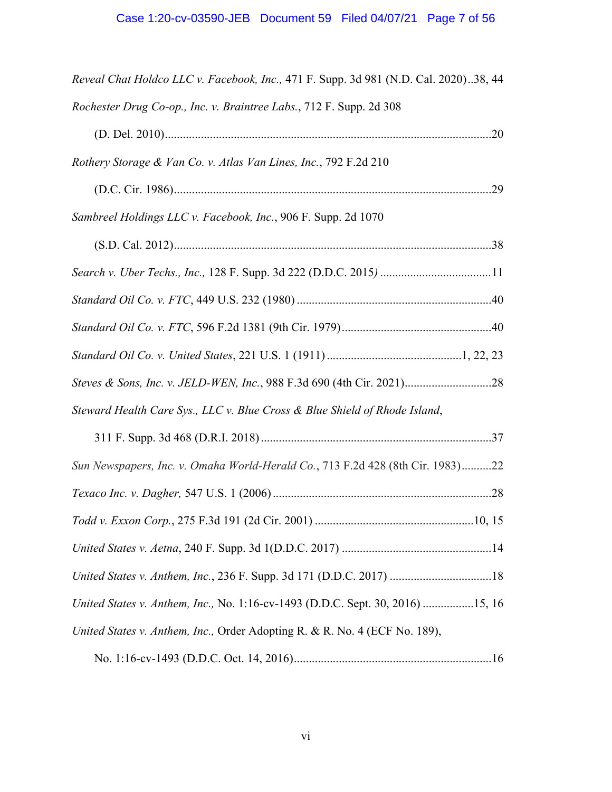# Case 1:20-cv-03590-JEB Document 59 Filed 04/07/21 Page 7 of 56

| Reveal Chat Holdco LLC v. Facebook, Inc., 471 F. Supp. 3d 981 (N.D. Cal. 2020)38, 44 |
|--------------------------------------------------------------------------------------|
| Rochester Drug Co-op., Inc. v. Braintree Labs., 712 F. Supp. 2d 308                  |
|                                                                                      |
| Rothery Storage & Van Co. v. Atlas Van Lines, Inc., 792 F.2d 210                     |
|                                                                                      |
| Sambreel Holdings LLC v. Facebook, Inc., 906 F. Supp. 2d 1070                        |
|                                                                                      |
| Search v. Uber Techs., Inc., 128 F. Supp. 3d 222 (D.D.C. 2015) 11                    |
|                                                                                      |
|                                                                                      |
|                                                                                      |
|                                                                                      |
| Steward Health Care Sys., LLC v. Blue Cross & Blue Shield of Rhode Island,           |
|                                                                                      |
| Sun Newspapers, Inc. v. Omaha World-Herald Co., 713 F.2d 428 (8th Cir. 1983)22       |
|                                                                                      |
|                                                                                      |
|                                                                                      |
| United States v. Anthem, Inc., 236 F. Supp. 3d 171 (D.D.C. 2017) 18                  |
| United States v. Anthem, Inc., No. 1:16-cv-1493 (D.D.C. Sept. 30, 2016) 15, 16       |
| United States v. Anthem, Inc., Order Adopting R. & R. No. 4 (ECF No. 189),           |
|                                                                                      |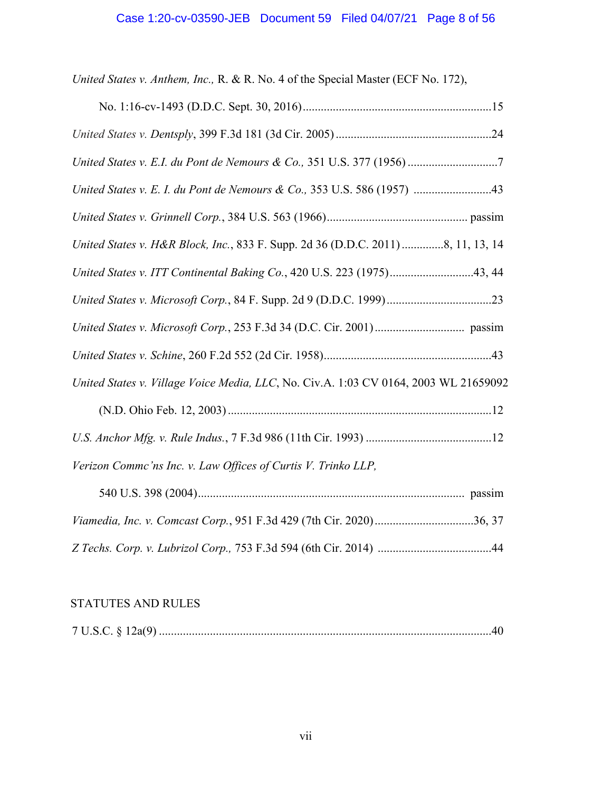| United States v. Anthem, Inc., R. & R. No. 4 of the Special Master (ECF No. 172), |  |
|-----------------------------------------------------------------------------------|--|
|                                                                                   |  |
|                                                                                   |  |

*[United States v. E.I. du Pont de Nemours & Co.,](#page-16-0)* 351 U.S. 377 (1956) ..............................7 *[United States v. E. I. du Pont de Nemours & Co.,](#page-52-0)* 353 U.S. 586 (1957) ..........................43

- *United States v. Grinnell Corp.*, 384 U.S. 563 (1966) ............................................... passim
- *United States v. H&R Block, Inc.*[, 833 F. Supp. 2d 36 \(D.D.C. 2011\) ..............8, 11, 13, 14](#page-23-0)
- *United States v. ITT Continental Baking Co.*[, 420 U.S. 223 \(1975\)............................43, 44](#page-53-0)
- *United States v. Microsoft Corp.*[, 84 F. Supp. 2d 9 \(D.D.C. 1999\) ...................................23](#page-32-0)
- *United States v. Microsoft Corp.*, 253 F.3d 34 (D.C. Cir. 2001) .............................. passim *United States v. Schine*[, 260 F.2d 552 \(2d Cir. 1958\)........................................................43](#page-52-0)
- *United States v. Village Voice Media, LLC*, No. Civ.A. 1:03 CV 0164, 2003 WL 21659092
- 
- [\(N.D. Ohio Feb. 12, 2003\) ........................................................................................12](#page-21-0)
- *U.S. Anchor Mfg. v. Rule Indus.*[, 7 F.3d 986 \(11th Cir. 1993\) ..........................................12](#page-21-0)

*Verizon Commc'ns Inc. v. Law Offices of Curtis V. Trinko LLP,* 

# STATUTES AND RULES

|--|--|--|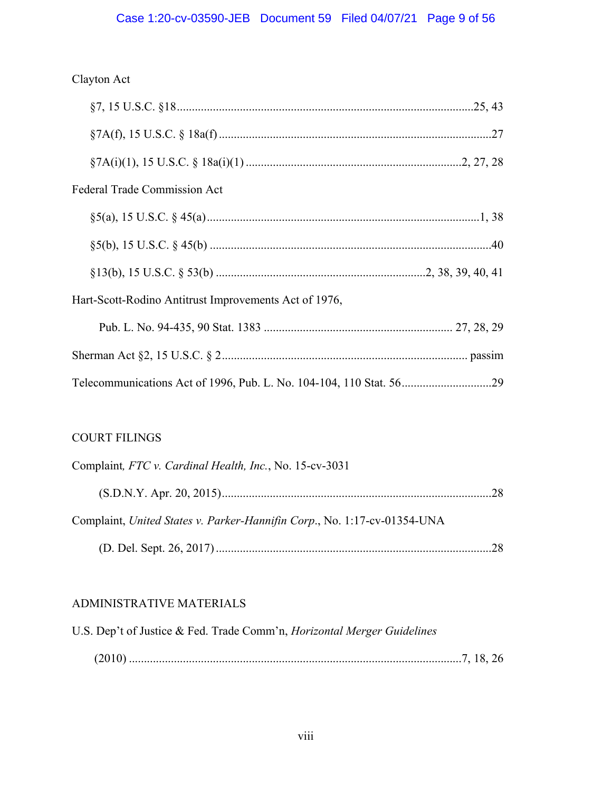# Clayton Act

| Federal Trade Commission Act                          |  |  |
|-------------------------------------------------------|--|--|
|                                                       |  |  |
|                                                       |  |  |
|                                                       |  |  |
| Hart-Scott-Rodino Antitrust Improvements Act of 1976, |  |  |
|                                                       |  |  |
|                                                       |  |  |
|                                                       |  |  |

# COURT FILINGS

| Complaint, FTC v. Cardinal Health, Inc., No. 15-cv-3031                  |  |
|--------------------------------------------------------------------------|--|
|                                                                          |  |
| Complaint, United States v. Parker-Hannifin Corp., No. 1:17-cv-01354-UNA |  |
|                                                                          |  |

# ADMINISTRATIVE MATERIALS

| U.S. Dep't of Justice & Fed. Trade Comm'n, <i>Horizontal Merger Guidelines</i> |  |
|--------------------------------------------------------------------------------|--|
|                                                                                |  |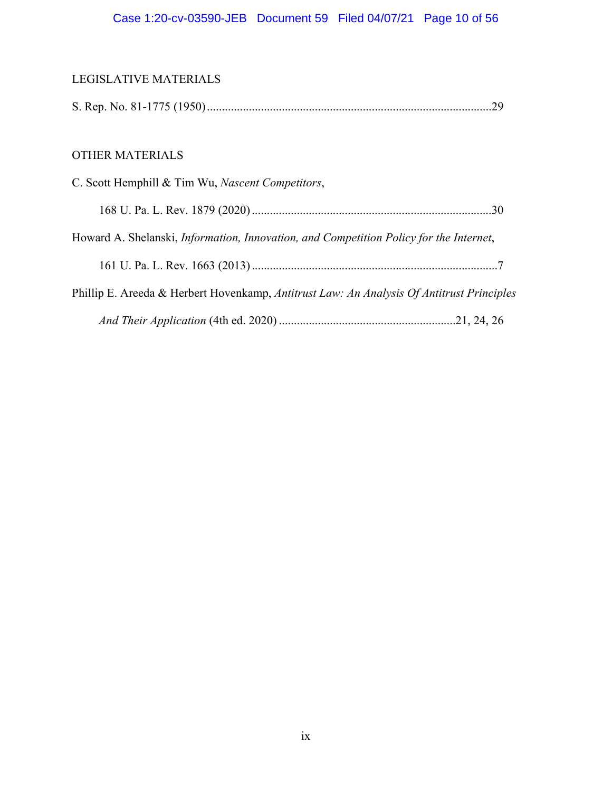# Case 1:20-cv-03590-JEB Document 59 Filed 04/07/21 Page 10 of 56

| <b>LEGISLATIVE MATERIALS</b>                                                                   |
|------------------------------------------------------------------------------------------------|
| .29                                                                                            |
|                                                                                                |
| <b>OTHER MATERIALS</b>                                                                         |
| C. Scott Hemphill & Tim Wu, Nascent Competitors,                                               |
|                                                                                                |
| Howard A. Shelanski, <i>Information, Innovation, and Competition Policy for the Internet</i> , |
|                                                                                                |
| Phillip E. Areeda & Herbert Hovenkamp, Antitrust Law: An Analysis Of Antitrust Principles      |
|                                                                                                |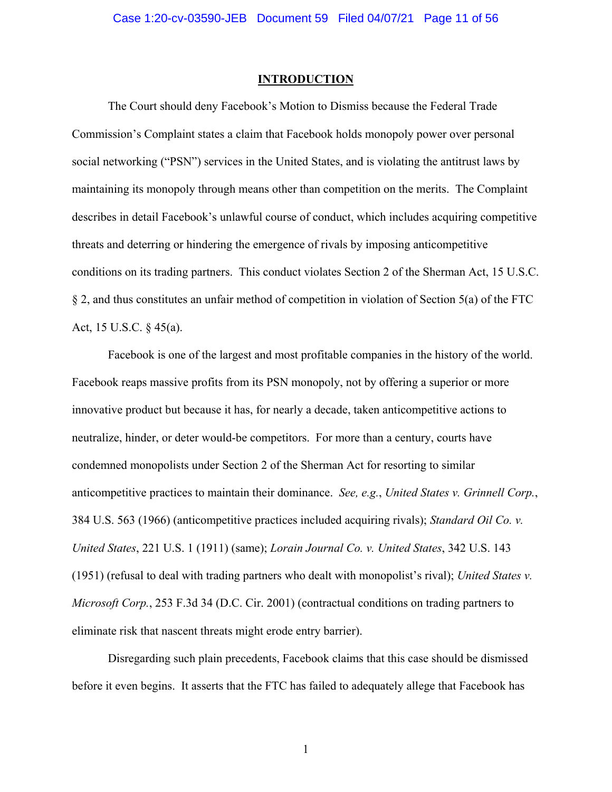#### **INTRODUCTION**

<span id="page-10-0"></span>The Court should deny Facebook's Motion to Dismiss because the Federal Trade Commission's Complaint states a claim that Facebook holds monopoly power over personal social networking ("PSN") services in the United States, and is violating the antitrust laws by maintaining its monopoly through means other than competition on the merits. The Complaint describes in detail Facebook's unlawful course of conduct, which includes acquiring competitive threats and deterring or hindering the emergence of rivals by imposing anticompetitive conditions on its trading partners. This conduct violates Section 2 of the Sherman Act, 15 U.S.C. § 2, and thus constitutes an unfair method of competition in violation of Section 5(a) of the FTC Act, 15 U.S.C. § 45(a).

Facebook is one of the largest and most profitable companies in the history of the world. Facebook reaps massive profits from its PSN monopoly, not by offering a superior or more innovative product but because it has, for nearly a decade, taken anticompetitive actions to neutralize, hinder, or deter would-be competitors. For more than a century, courts have condemned monopolists under Section 2 of the Sherman Act for resorting to similar anticompetitive practices to maintain their dominance. *See, e.g.*, *United States v. Grinnell Corp.*, 384 U.S. 563 (1966) (anticompetitive practices included acquiring rivals); *Standard Oil Co. v. United States*, 221 U.S. 1 (1911) (same); *Lorain Journal Co. v. United States*, 342 U.S. 143 (1951) (refusal to deal with trading partners who dealt with monopolist's rival); *United States v. Microsoft Corp.*, 253 F.3d 34 (D.C. Cir. 2001) (contractual conditions on trading partners to eliminate risk that nascent threats might erode entry barrier).

Disregarding such plain precedents, Facebook claims that this case should be dismissed before it even begins. It asserts that the FTC has failed to adequately allege that Facebook has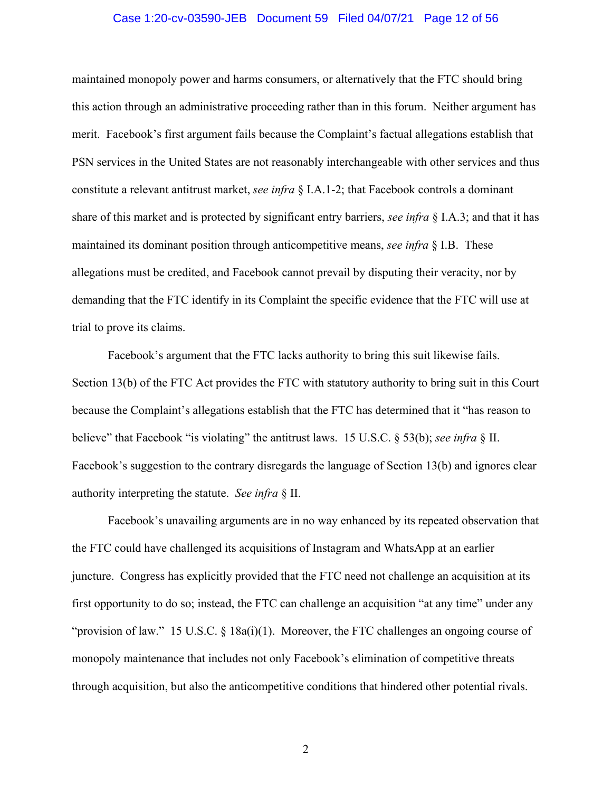#### Case 1:20-cv-03590-JEB Document 59 Filed 04/07/21 Page 12 of 56

maintained monopoly power and harms consumers, or alternatively that the FTC should bring this action through an administrative proceeding rather than in this forum. Neither argument has merit. Facebook's first argument fails because the Complaint's factual allegations establish that PSN services in the United States are not reasonably interchangeable with other services and thus constitute a relevant antitrust market, *see infra* § I.A.1-2; that Facebook controls a dominant share of this market and is protected by significant entry barriers, *see infra* § I.A.3; and that it has maintained its dominant position through anticompetitive means, *see infra* § I.B. These allegations must be credited, and Facebook cannot prevail by disputing their veracity, nor by demanding that the FTC identify in its Complaint the specific evidence that the FTC will use at trial to prove its claims.

Facebook's argument that the FTC lacks authority to bring this suit likewise fails. Section 13(b) of the FTC Act provides the FTC with statutory authority to bring suit in this Court because the Complaint's allegations establish that the FTC has determined that it "has reason to believe" that Facebook "is violating" the antitrust laws. 15 U.S.C. § 53(b); *see infra* § II. Facebook's suggestion to the contrary disregards the language of Section 13(b) and ignores clear authority interpreting the statute. *See infra* § II.

Facebook's unavailing arguments are in no way enhanced by its repeated observation that the FTC could have challenged its acquisitions of Instagram and WhatsApp at an earlier juncture. Congress has explicitly provided that the FTC need not challenge an acquisition at its first opportunity to do so; instead, the FTC can challenge an acquisition "at any time" under any "provision of law." 15 U.S.C. § 18a(i)(1). Moreover, the FTC challenges an ongoing course of monopoly maintenance that includes not only Facebook's elimination of competitive threats through acquisition, but also the anticompetitive conditions that hindered other potential rivals.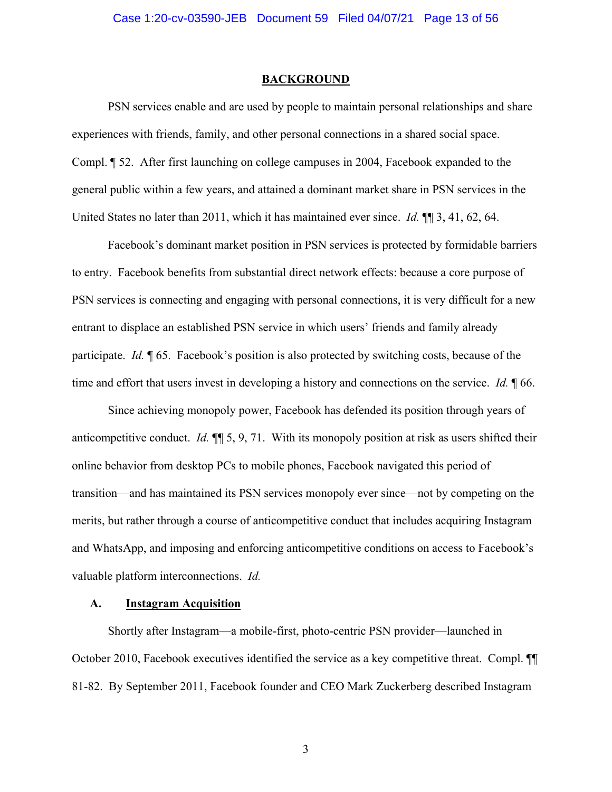#### **BACKGROUND**

PSN services enable and are used by people to maintain personal relationships and share experiences with friends, family, and other personal connections in a shared social space. Compl. ¶ 52. After first launching on college campuses in 2004, Facebook expanded to the general public within a few years, and attained a dominant market share in PSN services in the United States no later than 2011, which it has maintained ever since. *Id.* **¶** 3, 41, 62, 64.

Facebook's dominant market position in PSN services is protected by formidable barriers to entry. Facebook benefits from substantial direct network effects: because a core purpose of PSN services is connecting and engaging with personal connections, it is very difficult for a new entrant to displace an established PSN service in which users' friends and family already participate. *Id.* ¶ 65. Facebook's position is also protected by switching costs, because of the time and effort that users invest in developing a history and connections on the service. *Id.* ¶ 66.

 valuable platform interconnections. *Id.* Since achieving monopoly power, Facebook has defended its position through years of anticompetitive conduct. *Id.* ¶¶ 5, 9, 71. With its monopoly position at risk as users shifted their online behavior from desktop PCs to mobile phones, Facebook navigated this period of transition—and has maintained its PSN services monopoly ever since—not by competing on the merits, but rather through a course of anticompetitive conduct that includes acquiring Instagram and WhatsApp, and imposing and enforcing anticompetitive conditions on access to Facebook's

#### **A. Instagram Acquisition**

Shortly after Instagram—a mobile-first, photo-centric PSN provider—launched in October 2010, Facebook executives identified the service as a key competitive threat. Compl. ¶¶ 81-82. By September 2011, Facebook founder and CEO Mark Zuckerberg described Instagram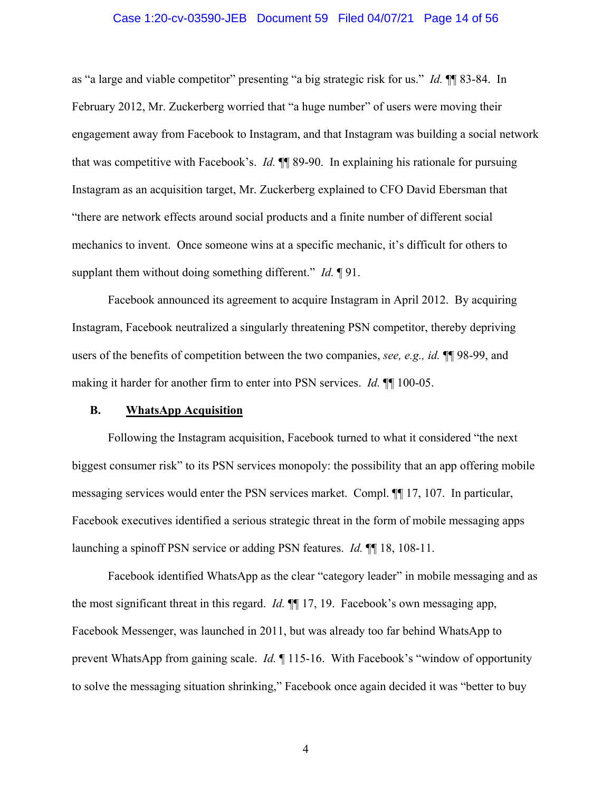#### Case 1:20-cv-03590-JEB Document 59 Filed 04/07/21 Page 14 of 56

<span id="page-13-0"></span> as "a large and viable competitor" presenting "a big strategic risk for us." *Id.* ¶¶ 83-84. In February 2012, Mr. Zuckerberg worried that "a huge number" of users were moving their engagement away from Facebook to Instagram, and that Instagram was building a social network that was competitive with Facebook's. *Id.* ¶¶ 89-90. In explaining his rationale for pursuing Instagram as an acquisition target, Mr. Zuckerberg explained to CFO David Ebersman that "there are network effects around social products and a finite number of different social mechanics to invent. Once someone wins at a specific mechanic, it's difficult for others to supplant them without doing something different." *Id.* ¶ 91.

Facebook announced its agreement to acquire Instagram in April 2012. By acquiring Instagram, Facebook neutralized a singularly threatening PSN competitor, thereby depriving users of the benefits of competition between the two companies, *see, e.g., id.* ¶¶ 98-99, and making it harder for another firm to enter into PSN services. *Id.* ¶¶ 100-05.

# **B. WhatsApp Acquisition**

Following the Instagram acquisition, Facebook turned to what it considered "the next biggest consumer risk" to its PSN services monopoly: the possibility that an app offering mobile messaging services would enter the PSN services market. Compl. ¶¶ 17, 107. In particular, Facebook executives identified a serious strategic threat in the form of mobile messaging apps launching a spinoff PSN service or adding PSN features. *Id.* ¶¶ 18, 108-11.

Facebook identified WhatsApp as the clear "category leader" in mobile messaging and as the most significant threat in this regard. *Id.* ¶¶ 17, 19. Facebook's own messaging app, Facebook Messenger, was launched in 2011, but was already too far behind WhatsApp to prevent WhatsApp from gaining scale. *Id.* ¶ 115-16. With Facebook's "window of opportunity to solve the messaging situation shrinking," Facebook once again decided it was "better to buy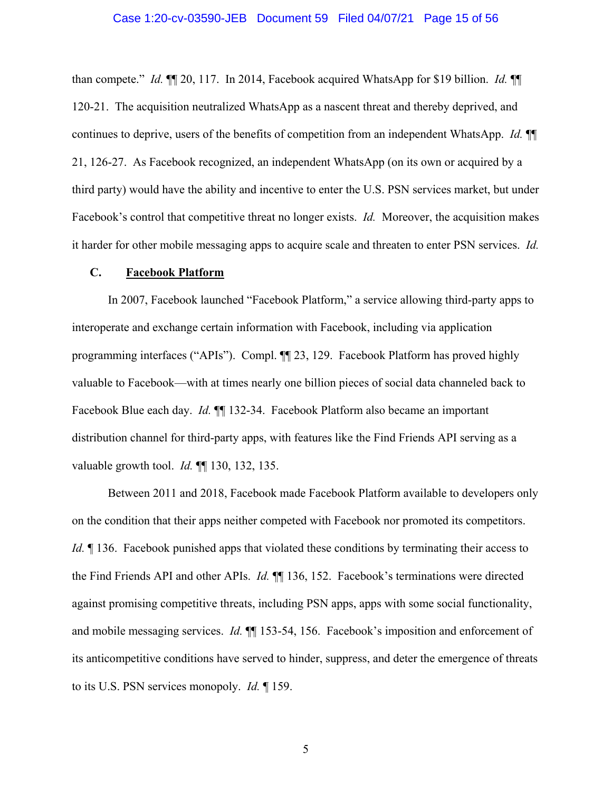#### Case 1:20-cv-03590-JEB Document 59 Filed 04/07/21 Page 15 of 56

<span id="page-14-0"></span> it harder for other mobile messaging apps to acquire scale and threaten to enter PSN services. *Id.* than compete." *Id.* ¶¶ 20, 117. In 2014, Facebook acquired WhatsApp for \$19 billion. *Id.* ¶¶ 120-21. The acquisition neutralized WhatsApp as a nascent threat and thereby deprived, and continues to deprive, users of the benefits of competition from an independent WhatsApp. *Id.* ¶¶ 21, 126-27. As Facebook recognized, an independent WhatsApp (on its own or acquired by a third party) would have the ability and incentive to enter the U.S. PSN services market, but under Facebook's control that competitive threat no longer exists. *Id.* Moreover, the acquisition makes

#### **C. Facebook Platform**

 Facebook Blue each day. *Id.* ¶¶ 132-34. Facebook Platform also became an important In 2007, Facebook launched "Facebook Platform," a service allowing third-party apps to interoperate and exchange certain information with Facebook, including via application programming interfaces ("APIs"). Compl. ¶¶ 23, 129. Facebook Platform has proved highly valuable to Facebook—with at times nearly one billion pieces of social data channeled back to distribution channel for third-party apps, with features like the Find Friends API serving as a valuable growth tool. *Id.* ¶¶ 130, 132, 135.

Between 2011 and 2018, Facebook made Facebook Platform available to developers only on the condition that their apps neither competed with Facebook nor promoted its competitors. *Id.*  $\parallel$  136. Facebook punished apps that violated these conditions by terminating their access to the Find Friends API and other APIs. *Id.* ¶¶ 136, 152. Facebook's terminations were directed against promising competitive threats, including PSN apps, apps with some social functionality, and mobile messaging services. *Id.* ¶¶ 153-54, 156. Facebook's imposition and enforcement of its anticompetitive conditions have served to hinder, suppress, and deter the emergence of threats to its U.S. PSN services monopoly. *Id.* ¶ 159.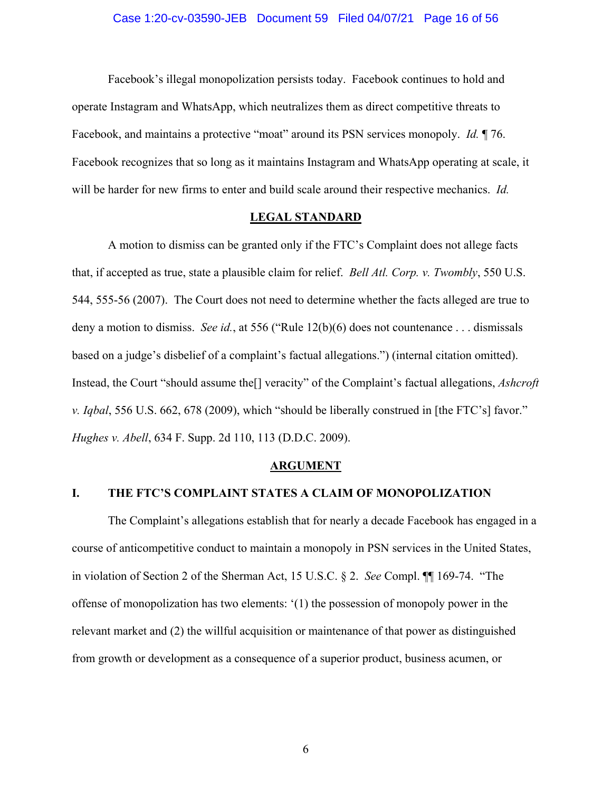#### Case 1:20-cv-03590-JEB Document 59 Filed 04/07/21 Page 16 of 56

<span id="page-15-0"></span>Facebook's illegal monopolization persists today. Facebook continues to hold and operate Instagram and WhatsApp, which neutralizes them as direct competitive threats to Facebook, and maintains a protective "moat" around its PSN services monopoly. *Id.* ¶ 76. Facebook recognizes that so long as it maintains Instagram and WhatsApp operating at scale, it will be harder for new firms to enter and build scale around their respective mechanics. *Id.* 

#### **LEGAL STANDARD**

A motion to dismiss can be granted only if the FTC's Complaint does not allege facts that, if accepted as true, state a plausible claim for relief. *Bell Atl. Corp. v. Twombly*, 550 U.S. 544, 555-56 (2007). The Court does not need to determine whether the facts alleged are true to deny a motion to dismiss. *See id.*, at 556 ("Rule 12(b)(6) does not countenance . . . dismissals based on a judge's disbelief of a complaint's factual allegations.") (internal citation omitted). Instead, the Court "should assume the[] veracity" of the Complaint's factual allegations, *Ashcroft v. Iqbal*, 556 U.S. 662, 678 (2009), which "should be liberally construed in [the FTC's] favor." *Hughes v. Abell*, 634 F. Supp. 2d 110, 113 (D.D.C. 2009).

#### **ARGUMENT**

#### **I. THE FTC'S COMPLAINT STATES A CLAIM OF MONOPOLIZATION**

The Complaint's allegations establish that for nearly a decade Facebook has engaged in a course of anticompetitive conduct to maintain a monopoly in PSN services in the United States, in violation of Section 2 of the Sherman Act, 15 U.S.C. § 2. *See* Compl. ¶¶ 169-74. "The offense of monopolization has two elements: '(1) the possession of monopoly power in the relevant market and (2) the willful acquisition or maintenance of that power as distinguished from growth or development as a consequence of a superior product, business acumen, or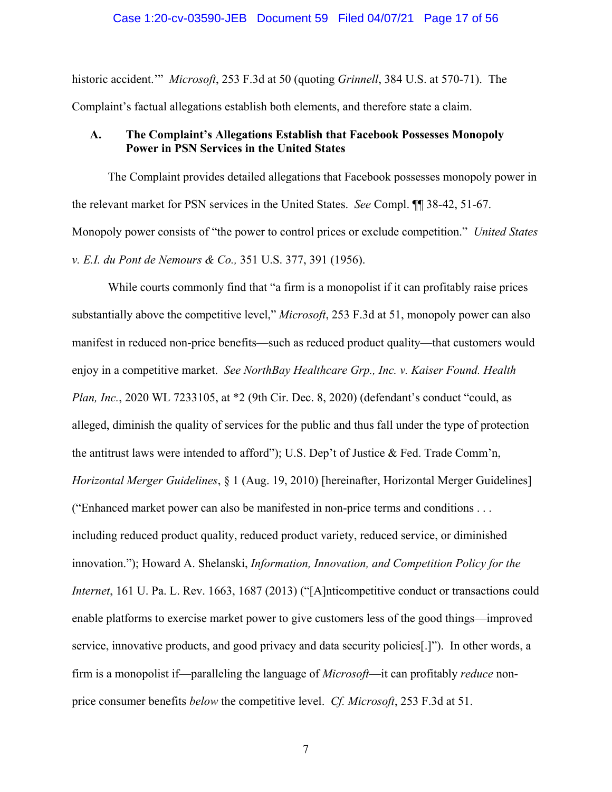<span id="page-16-0"></span>historic accident.'" *Microsoft*, 253 F.3d at 50 (quoting *Grinnell*, 384 U.S. at 570-71). The Complaint's factual allegations establish both elements, and therefore state a claim.

# **A. The Complaint's Allegations Establish that Facebook Possesses Monopoly Power in PSN Services in the United States**

The Complaint provides detailed allegations that Facebook possesses monopoly power in the relevant market for PSN services in the United States. *See* Compl. ¶¶ 38-42, 51-67. Monopoly power consists of "the power to control prices or exclude competition." *United States v. E.I. du Pont de Nemours & Co.,* 351 U.S. 377, 391 (1956).

While courts commonly find that "a firm is a monopolist if it can profitably raise prices substantially above the competitive level," *Microsoft*, 253 F.3d at 51, monopoly power can also manifest in reduced non-price benefits—such as reduced product quality—that customers would enjoy in a competitive market. *See NorthBay Healthcare Grp., Inc. v. Kaiser Found. Health Plan, Inc.*, 2020 WL 7233105, at \*2 (9th Cir. Dec. 8, 2020) (defendant's conduct "could, as alleged, diminish the quality of services for the public and thus fall under the type of protection the antitrust laws were intended to afford"); U.S. Dep't of Justice & Fed. Trade Comm'n, *Horizontal Merger Guidelines*, § 1 (Aug. 19, 2010) [hereinafter, Horizontal Merger Guidelines] ("Enhanced market power can also be manifested in non-price terms and conditions . . . including reduced product quality, reduced product variety, reduced service, or diminished innovation."); Howard A. Shelanski, *Information, Innovation, and Competition Policy for the Internet*, 161 U. Pa. L. Rev. 1663, 1687 (2013) ("[A]nticompetitive conduct or transactions could enable platforms to exercise market power to give customers less of the good things—improved service, innovative products, and good privacy and data security policies[.]"). In other words, a firm is a monopolist if—paralleling the language of *Microsoft*—it can profitably *reduce* nonprice consumer benefits *below* the competitive level. *Cf. Microsoft*, 253 F.3d at 51.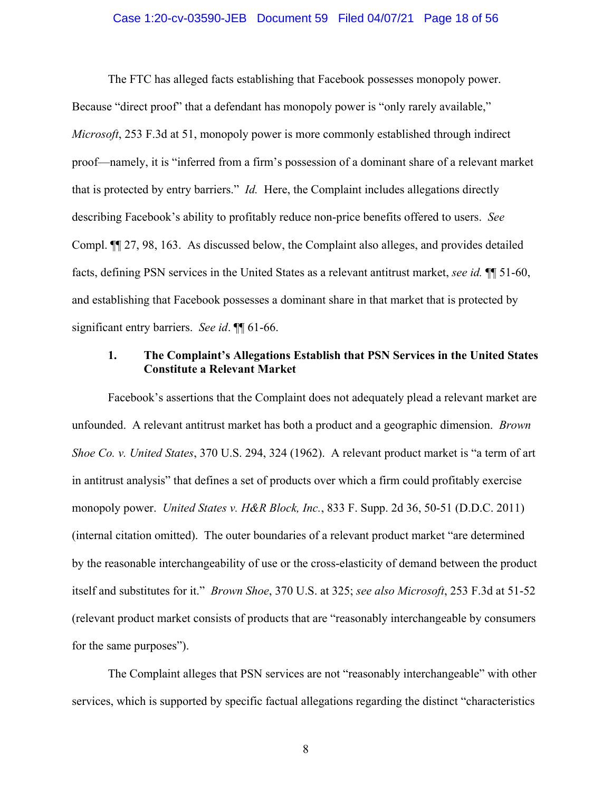#### Case 1:20-cv-03590-JEB Document 59 Filed 04/07/21 Page 18 of 56

<span id="page-17-0"></span>The FTC has alleged facts establishing that Facebook possesses monopoly power. Because "direct proof" that a defendant has monopoly power is "only rarely available," *Microsoft*, 253 F.3d at 51, monopoly power is more commonly established through indirect proof—namely, it is "inferred from a firm's possession of a dominant share of a relevant market that is protected by entry barriers." *Id.* Here, the Complaint includes allegations directly describing Facebook's ability to profitably reduce non-price benefits offered to users. *See*  Compl. ¶¶ 27, 98, 163. As discussed below, the Complaint also alleges, and provides detailed facts, defining PSN services in the United States as a relevant antitrust market, *see id.* ¶¶ 51-60, and establishing that Facebook possesses a dominant share in that market that is protected by significant entry barriers. *See id*. ¶¶ 61-66.

# **1. The Complaint's Allegations Establish that PSN Services in the United States Constitute a Relevant Market**

Facebook's assertions that the Complaint does not adequately plead a relevant market are unfounded. A relevant antitrust market has both a product and a geographic dimension. *Brown Shoe Co. v. United States*, 370 U.S. 294, 324 (1962). A relevant product market is "a term of art in antitrust analysis" that defines a set of products over which a firm could profitably exercise monopoly power. *United States v. H&R Block, Inc.*, 833 F. Supp. 2d 36, 50-51 (D.D.C. 2011) (internal citation omitted). The outer boundaries of a relevant product market "are determined by the reasonable interchangeability of use or the cross-elasticity of demand between the product itself and substitutes for it." *Brown Shoe*, 370 U.S. at 325; *see also Microsoft*, 253 F.3d at 51-52 (relevant product market consists of products that are "reasonably interchangeable by consumers for the same purposes").

The Complaint alleges that PSN services are not "reasonably interchangeable" with other services, which is supported by specific factual allegations regarding the distinct "characteristics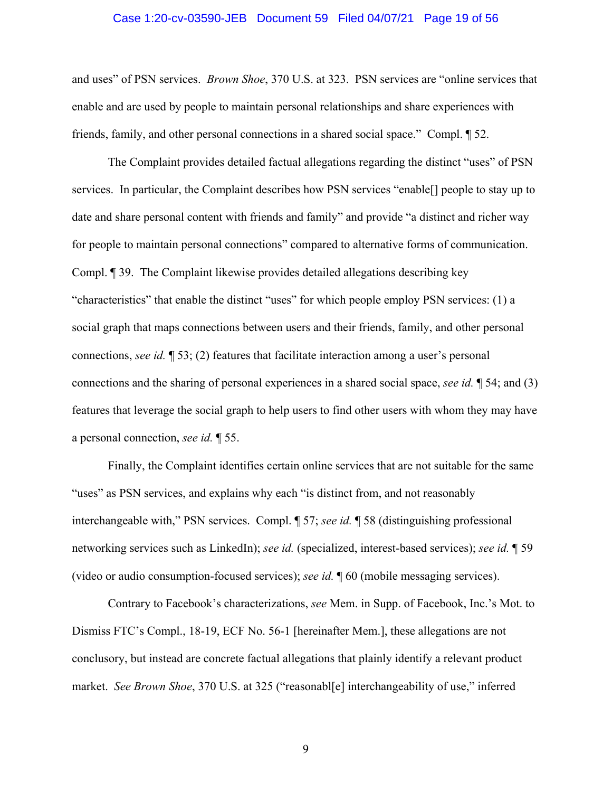#### Case 1:20-cv-03590-JEB Document 59 Filed 04/07/21 Page 19 of 56

and uses" of PSN services. *Brown Shoe*, 370 U.S. at 323. PSN services are "online services that enable and are used by people to maintain personal relationships and share experiences with friends, family, and other personal connections in a shared social space." Compl. ¶ 52.

The Complaint provides detailed factual allegations regarding the distinct "uses" of PSN services. In particular, the Complaint describes how PSN services "enable[] people to stay up to date and share personal content with friends and family" and provide "a distinct and richer way for people to maintain personal connections" compared to alternative forms of communication. Compl. ¶ 39. The Complaint likewise provides detailed allegations describing key "characteristics" that enable the distinct "uses" for which people employ PSN services: (1) a social graph that maps connections between users and their friends, family, and other personal connections, *see id.* ¶ 53; (2) features that facilitate interaction among a user's personal connections and the sharing of personal experiences in a shared social space, *see id.* ¶ 54; and (3) features that leverage the social graph to help users to find other users with whom they may have a personal connection, *see id.* ¶ 55.

Finally, the Complaint identifies certain online services that are not suitable for the same "uses" as PSN services, and explains why each "is distinct from, and not reasonably interchangeable with," PSN services. Compl. ¶ 57; *see id.* ¶ 58 (distinguishing professional networking services such as LinkedIn); *see id.* (specialized, interest-based services); *see id.* ¶ 59 (video or audio consumption-focused services); *see id.* ¶ 60 (mobile messaging services).

Contrary to Facebook's characterizations, *see* Mem. in Supp. of Facebook, Inc.'s Mot. to Dismiss FTC's Compl., 18-19, ECF No. 56-1 [hereinafter Mem.], these allegations are not conclusory, but instead are concrete factual allegations that plainly identify a relevant product market. *See Brown Shoe*, 370 U.S. at 325 ("reasonabl[e] interchangeability of use," inferred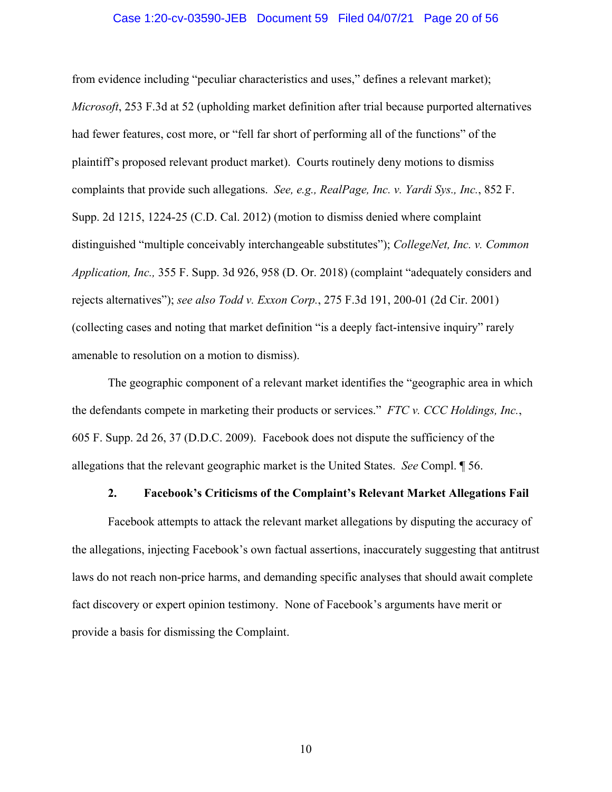#### Case 1:20-cv-03590-JEB Document 59 Filed 04/07/21 Page 20 of 56

<span id="page-19-0"></span>from evidence including "peculiar characteristics and uses," defines a relevant market); *Microsoft*, 253 F.3d at 52 (upholding market definition after trial because purported alternatives had fewer features, cost more, or "fell far short of performing all of the functions" of the plaintiff's proposed relevant product market). Courts routinely deny motions to dismiss complaints that provide such allegations. *See, e.g., RealPage, Inc. v. Yardi Sys., Inc.*, 852 F. Supp. 2d 1215, 1224-25 (C.D. Cal. 2012) (motion to dismiss denied where complaint distinguished "multiple conceivably interchangeable substitutes"); *CollegeNet, Inc. v. Common Application, Inc.,* 355 F. Supp. 3d 926, 958 (D. Or. 2018) (complaint "adequately considers and rejects alternatives"); *see also Todd v. Exxon Corp.*, 275 F.3d 191, 200-01 (2d Cir. 2001) (collecting cases and noting that market definition "is a deeply fact-intensive inquiry" rarely amenable to resolution on a motion to dismiss).

The geographic component of a relevant market identifies the "geographic area in which the defendants compete in marketing their products or services." *FTC v. CCC Holdings, Inc.*, 605 F. Supp. 2d 26, 37 (D.D.C. 2009). Facebook does not dispute the sufficiency of the allegations that the relevant geographic market is the United States. *See* Compl. ¶ 56.

#### **2. Facebook's Criticisms of the Complaint's Relevant Market Allegations Fail**

Facebook attempts to attack the relevant market allegations by disputing the accuracy of the allegations, injecting Facebook's own factual assertions, inaccurately suggesting that antitrust laws do not reach non-price harms, and demanding specific analyses that should await complete fact discovery or expert opinion testimony. None of Facebook's arguments have merit or provide a basis for dismissing the Complaint.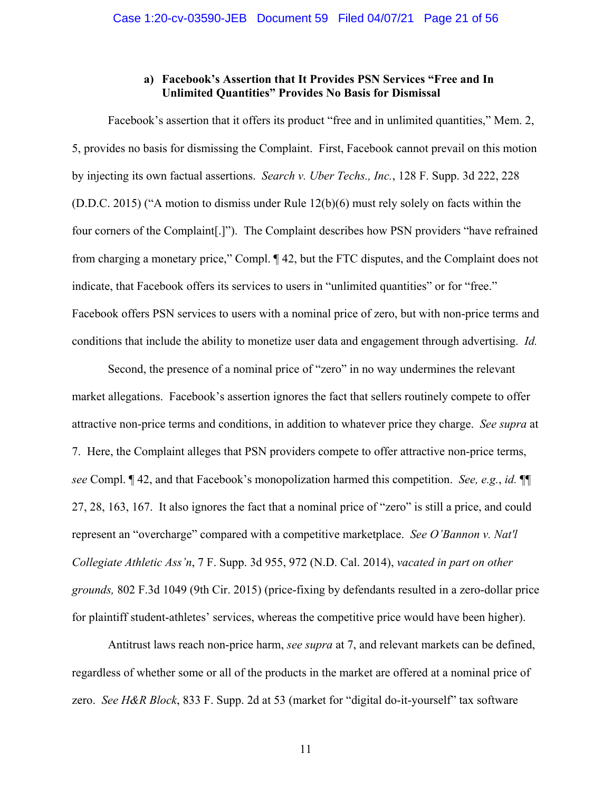# **a) Facebook's Assertion that It Provides PSN Services "Free and In Unlimited Quantities" Provides No Basis for Dismissal**

<span id="page-20-0"></span> conditions that include the ability to monetize user data and engagement through advertising. *Id.* Facebook's assertion that it offers its product "free and in unlimited quantities," Mem. 2, 5, provides no basis for dismissing the Complaint. First, Facebook cannot prevail on this motion by injecting its own factual assertions. *Search v. Uber Techs., Inc.*, 128 F. Supp. 3d 222, 228 (D.D.C. 2015) ("A motion to dismiss under Rule 12(b)(6) must rely solely on facts within the four corners of the Complaint[.]"). The Complaint describes how PSN providers "have refrained from charging a monetary price," Compl. ¶ 42, but the FTC disputes, and the Complaint does not indicate, that Facebook offers its services to users in "unlimited quantities" or for "free." Facebook offers PSN services to users with a nominal price of zero, but with non-price terms and

Second, the presence of a nominal price of "zero" in no way undermines the relevant market allegations. Facebook's assertion ignores the fact that sellers routinely compete to offer attractive non-price terms and conditions, in addition to whatever price they charge. *See supra* at 7. Here, the Complaint alleges that PSN providers compete to offer attractive non-price terms, *see* Compl. ¶ 42, and that Facebook's monopolization harmed this competition. *See, e.g.*, *id.* ¶¶ 27, 28, 163, 167. It also ignores the fact that a nominal price of "zero" is still a price, and could represent an "overcharge" compared with a competitive marketplace. *See O'Bannon v. Nat'l Collegiate Athletic Ass'n*, 7 F. Supp. 3d 955, 972 (N.D. Cal. 2014), *vacated in part on other grounds,* 802 F.3d 1049 (9th Cir. 2015) (price-fixing by defendants resulted in a zero-dollar price for plaintiff student-athletes' services, whereas the competitive price would have been higher).

Antitrust laws reach non-price harm, *see supra* at 7, and relevant markets can be defined, regardless of whether some or all of the products in the market are offered at a nominal price of zero. *See H&R Block*, 833 F. Supp. 2d at 53 (market for "digital do-it-yourself" tax software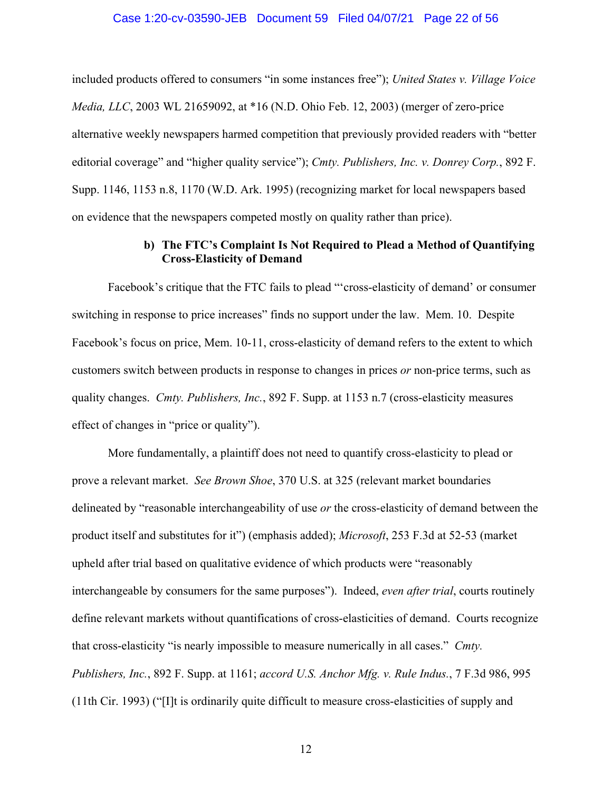#### Case 1:20-cv-03590-JEB Document 59 Filed 04/07/21 Page 22 of 56

<span id="page-21-0"></span>included products offered to consumers "in some instances free"); *United States v. Village Voice Media, LLC*, 2003 WL 21659092, at \*16 (N.D. Ohio Feb. 12, 2003) (merger of zero-price alternative weekly newspapers harmed competition that previously provided readers with "better editorial coverage" and "higher quality service"); *Cmty. Publishers, Inc. v. Donrey Corp.*, 892 F. Supp. 1146, 1153 n.8, 1170 (W.D. Ark. 1995) (recognizing market for local newspapers based on evidence that the newspapers competed mostly on quality rather than price).

# **b) The FTC's Complaint Is Not Required to Plead a Method of Quantifying Cross-Elasticity of Demand**

Facebook's critique that the FTC fails to plead "'cross-elasticity of demand' or consumer switching in response to price increases" finds no support under the law. Mem. 10. Despite Facebook's focus on price, Mem. 10-11, cross-elasticity of demand refers to the extent to which customers switch between products in response to changes in prices *or* non-price terms, such as quality changes. *Cmty. Publishers, Inc.*, 892 F. Supp. at 1153 n.7 (cross-elasticity measures effect of changes in "price or quality").

More fundamentally, a plaintiff does not need to quantify cross-elasticity to plead or prove a relevant market. *See Brown Shoe*, 370 U.S. at 325 (relevant market boundaries delineated by "reasonable interchangeability of use *or* the cross-elasticity of demand between the product itself and substitutes for it") (emphasis added); *Microsoft*, 253 F.3d at 52-53 (market upheld after trial based on qualitative evidence of which products were "reasonably interchangeable by consumers for the same purposes"). Indeed, *even after trial*, courts routinely define relevant markets without quantifications of cross-elasticities of demand. Courts recognize that cross-elasticity "is nearly impossible to measure numerically in all cases." *Cmty. Publishers, Inc.*, 892 F. Supp. at 1161; *accord U.S. Anchor Mfg. v. Rule Indus.*, 7 F.3d 986, 995 (11th Cir. 1993) ("[I]t is ordinarily quite difficult to measure cross-elasticities of supply and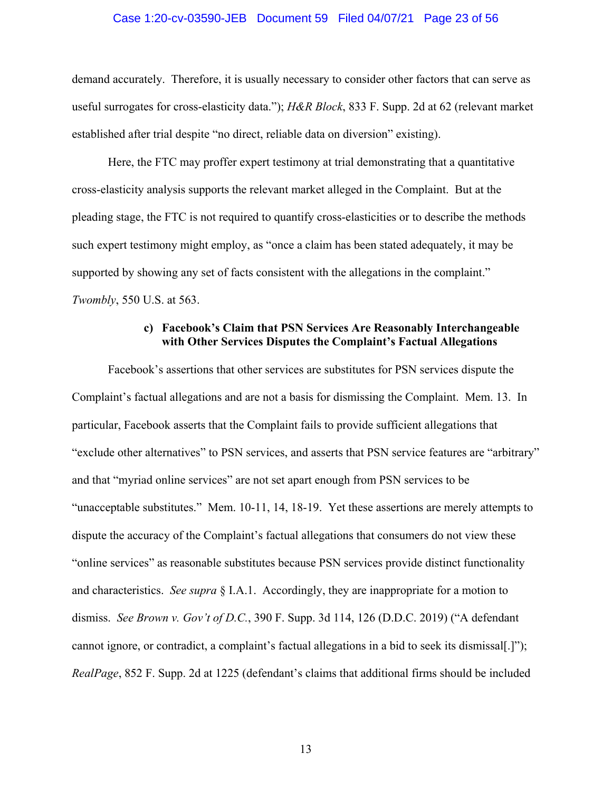#### Case 1:20-cv-03590-JEB Document 59 Filed 04/07/21 Page 23 of 56

<span id="page-22-0"></span>demand accurately. Therefore, it is usually necessary to consider other factors that can serve as useful surrogates for cross-elasticity data."); *H&R Block*, 833 F. Supp. 2d at 62 (relevant market established after trial despite "no direct, reliable data on diversion" existing).

Here, the FTC may proffer expert testimony at trial demonstrating that a quantitative cross-elasticity analysis supports the relevant market alleged in the Complaint. But at the pleading stage, the FTC is not required to quantify cross-elasticities or to describe the methods such expert testimony might employ, as "once a claim has been stated adequately, it may be supported by showing any set of facts consistent with the allegations in the complaint." *Twombly*, 550 U.S. at 563.

# **c) Facebook's Claim that PSN Services Are Reasonably Interchangeable with Other Services Disputes the Complaint's Factual Allegations**

Facebook's assertions that other services are substitutes for PSN services dispute the Complaint's factual allegations and are not a basis for dismissing the Complaint. Mem. 13. In particular, Facebook asserts that the Complaint fails to provide sufficient allegations that "exclude other alternatives" to PSN services, and asserts that PSN service features are "arbitrary" and that "myriad online services" are not set apart enough from PSN services to be "unacceptable substitutes." Mem. 10-11, 14, 18-19. Yet these assertions are merely attempts to dispute the accuracy of the Complaint's factual allegations that consumers do not view these "online services" as reasonable substitutes because PSN services provide distinct functionality and characteristics. *See supra* § I.A.1. Accordingly, they are inappropriate for a motion to dismiss. *See Brown v. Gov't of D.C.*, 390 F. Supp. 3d 114, 126 (D.D.C. 2019) ("A defendant cannot ignore, or contradict, a complaint's factual allegations in a bid to seek its dismissal[.]"); *RealPage*, 852 F. Supp. 2d at 1225 (defendant's claims that additional firms should be included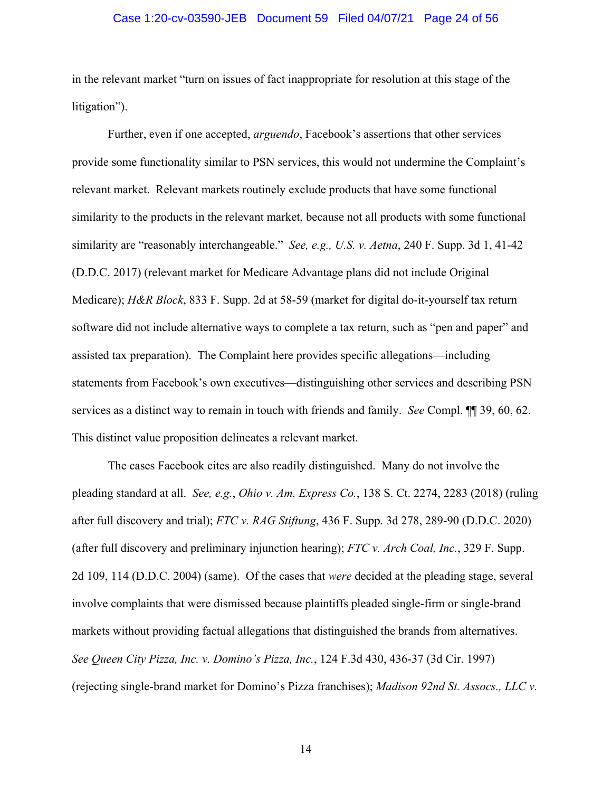#### Case 1:20-cv-03590-JEB Document 59 Filed 04/07/21 Page 24 of 56

<span id="page-23-0"></span>in the relevant market "turn on issues of fact inappropriate for resolution at this stage of the litigation").

Further, even if one accepted, *arguendo*, Facebook's assertions that other services provide some functionality similar to PSN services, this would not undermine the Complaint's relevant market. Relevant markets routinely exclude products that have some functional similarity to the products in the relevant market, because not all products with some functional similarity are "reasonably interchangeable." *See, e.g., U.S. v. Aetna*, 240 F. Supp. 3d 1, 41-42 (D.D.C. 2017) (relevant market for Medicare Advantage plans did not include Original Medicare); *H&R Block*, 833 F. Supp. 2d at 58-59 (market for digital do-it-yourself tax return software did not include alternative ways to complete a tax return, such as "pen and paper" and assisted tax preparation). The Complaint here provides specific allegations—including statements from Facebook's own executives—distinguishing other services and describing PSN services as a distinct way to remain in touch with friends and family. *See* Compl. ¶¶ 39, 60, 62. This distinct value proposition delineates a relevant market.

The cases Facebook cites are also readily distinguished. Many do not involve the pleading standard at all. *See, e.g.*, *Ohio v. Am. Express Co.*, 138 S. Ct. 2274, 2283 (2018) (ruling after full discovery and trial); *FTC v. RAG Stiftung*, 436 F. Supp. 3d 278, 289-90 (D.D.C. 2020) (after full discovery and preliminary injunction hearing); *FTC v. Arch Coal, Inc.*, 329 F. Supp. 2d 109, 114 (D.D.C. 2004) (same). Of the cases that *were* decided at the pleading stage, several involve complaints that were dismissed because plaintiffs pleaded single-firm or single-brand markets without providing factual allegations that distinguished the brands from alternatives. *See Queen City Pizza, Inc. v. Domino's Pizza, Inc.*, 124 F.3d 430, 436-37 (3d Cir. 1997) (rejecting single-brand market for Domino's Pizza franchises); *Madison 92nd St. Assocs., LLC v.*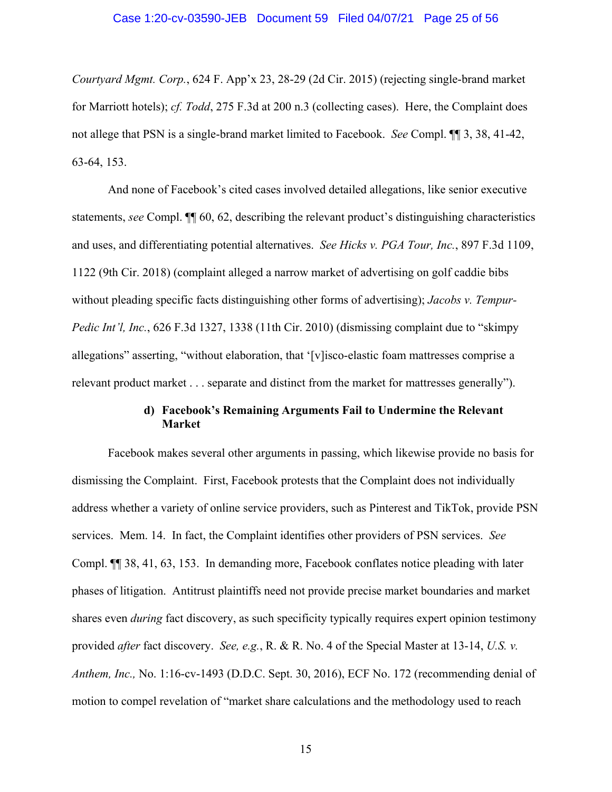<span id="page-24-0"></span>*Courtyard Mgmt. Corp.*, 624 F. App'x 23, 28-29 (2d Cir. 2015) (rejecting single-brand market for Marriott hotels); *cf. Todd*, 275 F.3d at 200 n.3 (collecting cases). Here, the Complaint does not allege that PSN is a single-brand market limited to Facebook. *See* Compl. ¶¶ 3, 38, 41-42, 63-64, 153.

And none of Facebook's cited cases involved detailed allegations, like senior executive statements, *see* Compl. ¶¶ 60, 62, describing the relevant product's distinguishing characteristics and uses, and differentiating potential alternatives. *See Hicks v. PGA Tour, Inc.*, 897 F.3d 1109, 1122 (9th Cir. 2018) (complaint alleged a narrow market of advertising on golf caddie bibs without pleading specific facts distinguishing other forms of advertising); *Jacobs v. Tempur-Pedic Int'l, Inc.*, 626 F.3d 1327, 1338 (11th Cir. 2010) (dismissing complaint due to "skimpy allegations" asserting, "without elaboration, that '[v]isco-elastic foam mattresses comprise a relevant product market . . . separate and distinct from the market for mattresses generally").

# **d) Facebook's Remaining Arguments Fail to Undermine the Relevant Market**

Facebook makes several other arguments in passing, which likewise provide no basis for dismissing the Complaint. First, Facebook protests that the Complaint does not individually address whether a variety of online service providers, such as Pinterest and TikTok, provide PSN services. Mem. 14. In fact, the Complaint identifies other providers of PSN services. *See*  Compl. ¶¶ 38, 41, 63, 153. In demanding more, Facebook conflates notice pleading with later phases of litigation. Antitrust plaintiffs need not provide precise market boundaries and market shares even *during* fact discovery, as such specificity typically requires expert opinion testimony provided *after* fact discovery. *See, e.g.*, R. & R. No. 4 of the Special Master at 13-14, *U.S. v. Anthem, Inc.,* No. 1:16-cv-1493 (D.D.C. Sept. 30, 2016), ECF No. 172 (recommending denial of motion to compel revelation of "market share calculations and the methodology used to reach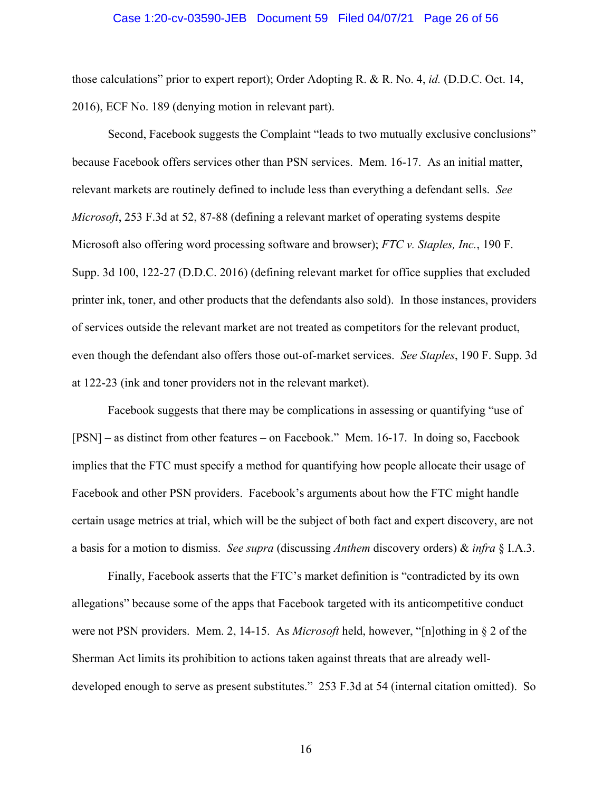#### Case 1:20-cv-03590-JEB Document 59 Filed 04/07/21 Page 26 of 56

<span id="page-25-0"></span>those calculations" prior to expert report); Order Adopting R. & R. No. 4, *id.* (D.D.C. Oct. 14, 2016), ECF No. 189 (denying motion in relevant part).

Second, Facebook suggests the Complaint "leads to two mutually exclusive conclusions" because Facebook offers services other than PSN services. Mem. 16-17. As an initial matter, relevant markets are routinely defined to include less than everything a defendant sells. *See Microsoft*, 253 F.3d at 52, 87-88 (defining a relevant market of operating systems despite Microsoft also offering word processing software and browser); *FTC v. Staples, Inc.*, 190 F. Supp. 3d 100, 122-27 (D.D.C. 2016) (defining relevant market for office supplies that excluded printer ink, toner, and other products that the defendants also sold). In those instances, providers of services outside the relevant market are not treated as competitors for the relevant product, even though the defendant also offers those out-of-market services. *See Staples*, 190 F. Supp. 3d at 122-23 (ink and toner providers not in the relevant market).

Facebook suggests that there may be complications in assessing or quantifying "use of [PSN] – as distinct from other features – on Facebook." Mem. 16-17. In doing so, Facebook implies that the FTC must specify a method for quantifying how people allocate their usage of Facebook and other PSN providers. Facebook's arguments about how the FTC might handle certain usage metrics at trial, which will be the subject of both fact and expert discovery, are not a basis for a motion to dismiss. *See supra* (discussing *Anthem* discovery orders) & *infra* § I.A.3.

Finally, Facebook asserts that the FTC's market definition is "contradicted by its own allegations" because some of the apps that Facebook targeted with its anticompetitive conduct were not PSN providers. Mem. 2, 14-15. As *Microsoft* held, however, "[n]othing in § 2 of the Sherman Act limits its prohibition to actions taken against threats that are already welldeveloped enough to serve as present substitutes." 253 F.3d at 54 (internal citation omitted). So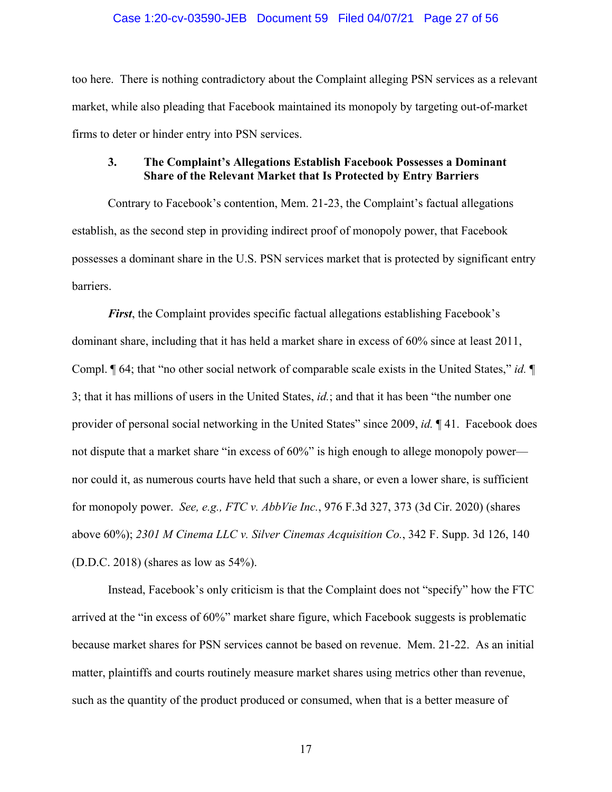#### Case 1:20-cv-03590-JEB Document 59 Filed 04/07/21 Page 27 of 56

<span id="page-26-0"></span>too here. There is nothing contradictory about the Complaint alleging PSN services as a relevant market, while also pleading that Facebook maintained its monopoly by targeting out-of-market firms to deter or hinder entry into PSN services.

# **3. The Complaint's Allegations Establish Facebook Possesses a Dominant Share of the Relevant Market that Is Protected by Entry Barriers**

Contrary to Facebook's contention, Mem. 21-23, the Complaint's factual allegations establish, as the second step in providing indirect proof of monopoly power, that Facebook possesses a dominant share in the U.S. PSN services market that is protected by significant entry barriers.

*First*, the Complaint provides specific factual allegations establishing Facebook's dominant share, including that it has held a market share in excess of 60% since at least 2011, Compl. ¶ 64; that "no other social network of comparable scale exists in the United States," *id.* ¶ 3; that it has millions of users in the United States, *id.*; and that it has been "the number one provider of personal social networking in the United States" since 2009, *id.* ¶ 41. Facebook does not dispute that a market share "in excess of 60%" is high enough to allege monopoly power nor could it, as numerous courts have held that such a share, or even a lower share, is sufficient for monopoly power. *See, e.g., FTC v. AbbVie Inc.*, 976 F.3d 327, 373 (3d Cir. 2020) (shares above 60%); *2301 M Cinema LLC v. Silver Cinemas Acquisition Co.*, 342 F. Supp. 3d 126, 140 (D.D.C. 2018) (shares as low as 54%).

Instead, Facebook's only criticism is that the Complaint does not "specify" how the FTC arrived at the "in excess of 60%" market share figure, which Facebook suggests is problematic because market shares for PSN services cannot be based on revenue. Mem. 21-22. As an initial matter, plaintiffs and courts routinely measure market shares using metrics other than revenue, such as the quantity of the product produced or consumed, when that is a better measure of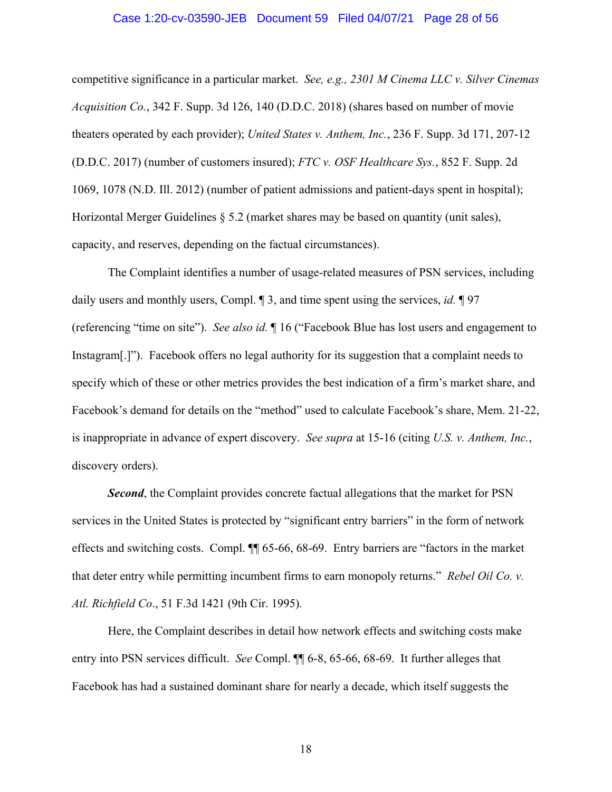#### Case 1:20-cv-03590-JEB Document 59 Filed 04/07/21 Page 28 of 56

<span id="page-27-0"></span>competitive significance in a particular market. *See, e.g., 2301 M Cinema LLC v. Silver Cinemas Acquisition Co.*, 342 F. Supp. 3d 126, 140 (D.D.C. 2018) (shares based on number of movie theaters operated by each provider); *United States v. Anthem, Inc.*, 236 F. Supp. 3d 171, 207-12 (D.D.C. 2017) (number of customers insured); *FTC v. OSF Healthcare Sys.*, 852 F. Supp. 2d 1069, 1078 (N.D. Ill. 2012) (number of patient admissions and patient-days spent in hospital); Horizontal Merger Guidelines  $\S 5.2$  (market shares may be based on quantity (unit sales), capacity, and reserves, depending on the factual circumstances).

The Complaint identifies a number of usage-related measures of PSN services, including daily users and monthly users, Compl. ¶ 3, and time spent using the services, *id.* ¶ 97 (referencing "time on site"). *See also id.* ¶ 16 ("Facebook Blue has lost users and engagement to Instagram[.]"). Facebook offers no legal authority for its suggestion that a complaint needs to specify which of these or other metrics provides the best indication of a firm's market share, and Facebook's demand for details on the "method" used to calculate Facebook's share, Mem. 21-22, is inappropriate in advance of expert discovery. *See supra* at 15-16 (citing *U.S. v. Anthem, Inc.*, discovery orders).

 *Atl. Richfield Co*., 51 F.3d 1421 (9th Cir. 1995)*. Second*, the Complaint provides concrete factual allegations that the market for PSN services in the United States is protected by "significant entry barriers" in the form of network effects and switching costs. Compl. ¶¶ 65-66, 68-69. Entry barriers are "factors in the market that deter entry while permitting incumbent firms to earn monopoly returns." *Rebel Oil Co. v.* 

Here, the Complaint describes in detail how network effects and switching costs make entry into PSN services difficult. *See* Compl. ¶¶ 6-8, 65-66, 68-69. It further alleges that Facebook has had a sustained dominant share for nearly a decade, which itself suggests the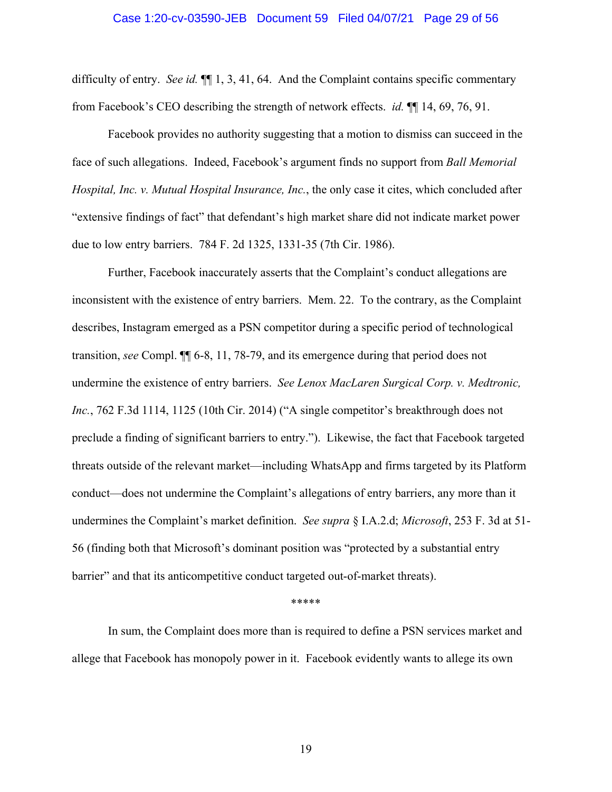<span id="page-28-0"></span>difficulty of entry. *See id.* ¶¶ 1, 3, 41, 64. And the Complaint contains specific commentary from Facebook's CEO describing the strength of network effects. *id.* ¶¶ 14, 69, 76, 91.

Facebook provides no authority suggesting that a motion to dismiss can succeed in the face of such allegations. Indeed, Facebook's argument finds no support from *Ball Memorial Hospital, Inc. v. Mutual Hospital Insurance, Inc.*, the only case it cites, which concluded after "extensive findings of fact" that defendant's high market share did not indicate market power due to low entry barriers. 784 F. 2d 1325, 1331-35 (7th Cir. 1986).

Further, Facebook inaccurately asserts that the Complaint's conduct allegations are inconsistent with the existence of entry barriers. Mem. 22. To the contrary, as the Complaint describes, Instagram emerged as a PSN competitor during a specific period of technological transition, *see* Compl. ¶¶ 6-8, 11, 78-79, and its emergence during that period does not undermine the existence of entry barriers. *See Lenox MacLaren Surgical Corp. v. Medtronic, Inc.*, 762 F.3d 1114, 1125 (10th Cir. 2014) ("A single competitor's breakthrough does not preclude a finding of significant barriers to entry."). Likewise, the fact that Facebook targeted threats outside of the relevant market—including WhatsApp and firms targeted by its Platform conduct—does not undermine the Complaint's allegations of entry barriers, any more than it undermines the Complaint's market definition. *See supra* § I.A.2.d; *Microsoft*, 253 F. 3d at 51- 56 (finding both that Microsoft's dominant position was "protected by a substantial entry barrier" and that its anticompetitive conduct targeted out-of-market threats).

#### \*\*\*\*\*

In sum, the Complaint does more than is required to define a PSN services market and allege that Facebook has monopoly power in it. Facebook evidently wants to allege its own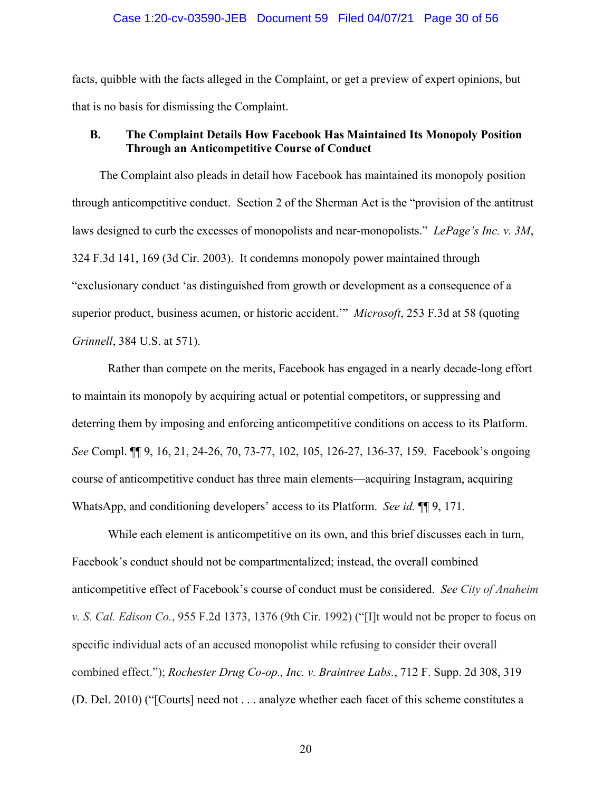#### Case 1:20-cv-03590-JEB Document 59 Filed 04/07/21 Page 30 of 56

<span id="page-29-0"></span>facts, quibble with the facts alleged in the Complaint, or get a preview of expert opinions, but that is no basis for dismissing the Complaint.

# **B. The Complaint Details How Facebook Has Maintained Its Monopoly Position Through an Anticompetitive Course of Conduct**

The Complaint also pleads in detail how Facebook has maintained its monopoly position through anticompetitive conduct. Section 2 of the Sherman Act is the "provision of the antitrust laws designed to curb the excesses of monopolists and near-monopolists." *LePage's Inc. v. 3M*, 324 F.3d 141, 169 (3d Cir. 2003). It condemns monopoly power maintained through "exclusionary conduct 'as distinguished from growth or development as a consequence of a superior product, business acumen, or historic accident.'" *Microsoft*, 253 F.3d at 58 (quoting *Grinnell*, 384 U.S. at 571).

Rather than compete on the merits, Facebook has engaged in a nearly decade-long effort to maintain its monopoly by acquiring actual or potential competitors, or suppressing and deterring them by imposing and enforcing anticompetitive conditions on access to its Platform. *See* Compl. ¶¶ 9, 16, 21, 24-26, 70, 73-77, 102, 105, 126-27, 136-37, 159. Facebook's ongoing course of anticompetitive conduct has three main elements—acquiring Instagram, acquiring WhatsApp, and conditioning developers' access to its Platform. *See id.* ¶¶ 9, 171.

While each element is anticompetitive on its own, and this brief discusses each in turn, Facebook's conduct should not be compartmentalized; instead, the overall combined anticompetitive effect of Facebook's course of conduct must be considered. *See City of Anaheim v. S. Cal. Edison Co.*, 955 F.2d 1373, 1376 (9th Cir. 1992) ("[I]t would not be proper to focus on specific individual acts of an accused monopolist while refusing to consider their overall combined effect."); *Rochester Drug Co-op., Inc. v. Braintree Labs.*, 712 F. Supp. 2d 308, 319 (D. Del. 2010) ("[Courts] need not . . . analyze whether each facet of this scheme constitutes a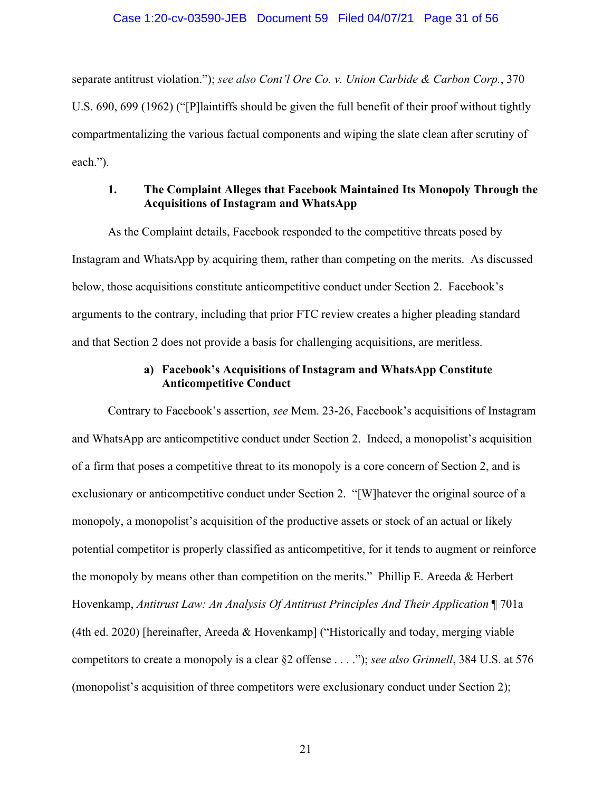#### Case 1:20-cv-03590-JEB Document 59 Filed 04/07/21 Page 31 of 56

<span id="page-30-0"></span>separate antitrust violation."); *see also Cont'l Ore Co. v. Union Carbide & Carbon Corp.*, 370 U.S. 690, 699 (1962) ("[P]laintiffs should be given the full benefit of their proof without tightly compartmentalizing the various factual components and wiping the slate clean after scrutiny of each.").

# **1. The Complaint Alleges that Facebook Maintained Its Monopoly Through the Acquisitions of Instagram and WhatsApp**

As the Complaint details, Facebook responded to the competitive threats posed by Instagram and WhatsApp by acquiring them, rather than competing on the merits. As discussed below, those acquisitions constitute anticompetitive conduct under Section 2. Facebook's arguments to the contrary, including that prior FTC review creates a higher pleading standard and that Section 2 does not provide a basis for challenging acquisitions, are meritless.

# **a) Facebook's Acquisitions of Instagram and WhatsApp Constitute Anticompetitive Conduct**

Contrary to Facebook's assertion, *see* Mem. 23-26, Facebook's acquisitions of Instagram and WhatsApp are anticompetitive conduct under Section 2. Indeed, a monopolist's acquisition of a firm that poses a competitive threat to its monopoly is a core concern of Section 2, and is exclusionary or anticompetitive conduct under Section 2. "[W]hatever the original source of a monopoly, a monopolist's acquisition of the productive assets or stock of an actual or likely potential competitor is properly classified as anticompetitive, for it tends to augment or reinforce the monopoly by means other than competition on the merits." Phillip E. Areeda & Herbert Hovenkamp, *Antitrust Law: An Analysis Of Antitrust Principles And Their Application* ¶ 701a (4th ed. 2020) [hereinafter, Areeda & Hovenkamp] ("Historically and today, merging viable competitors to create a monopoly is a clear §2 offense . . . ."); *see also Grinnell*, 384 U.S. at 576 (monopolist's acquisition of three competitors were exclusionary conduct under Section 2);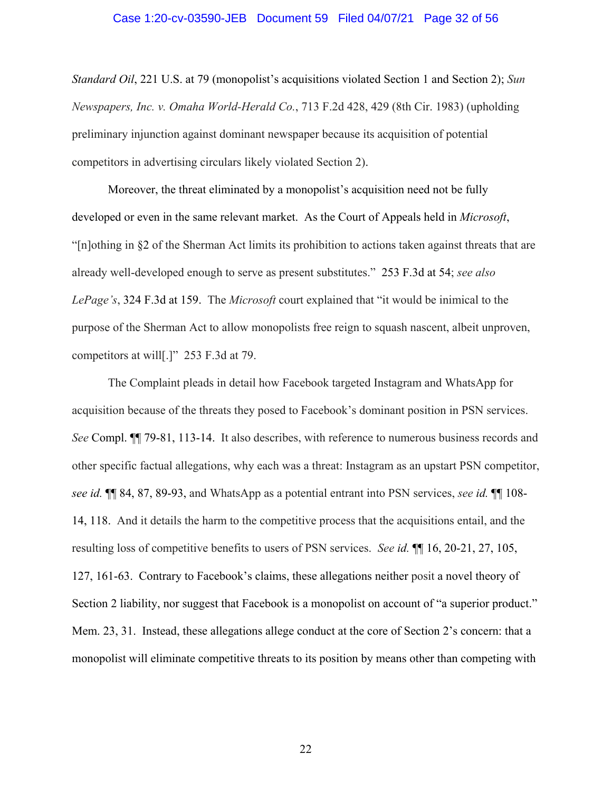<span id="page-31-0"></span>*Standard Oil*, 221 U.S. at 79 (monopolist's acquisitions violated Section 1 and Section 2); *Sun Newspapers, Inc. v. Omaha World-Herald Co.*, 713 F.2d 428, 429 (8th Cir. 1983) (upholding preliminary injunction against dominant newspaper because its acquisition of potential competitors in advertising circulars likely violated Section 2).

 *LePage's*, 324 F.3d at 159. The *Microsoft* court explained that "it would be inimical to the Moreover, the threat eliminated by a monopolist's acquisition need not be fully developed or even in the same relevant market. As the Court of Appeals held in *Microsoft*, "[n]othing in §2 of the Sherman Act limits its prohibition to actions taken against threats that are already well-developed enough to serve as present substitutes." 253 F.3d at 54; *see also*  purpose of the Sherman Act to allow monopolists free reign to squash nascent, albeit unproven, competitors at will[.]" 253 F.3d at 79.

The Complaint pleads in detail how Facebook targeted Instagram and WhatsApp for acquisition because of the threats they posed to Facebook's dominant position in PSN services. *See* Compl. ¶¶ 79-81, 113-14. It also describes, with reference to numerous business records and other specific factual allegations, why each was a threat: Instagram as an upstart PSN competitor, *see id.* ¶¶ 84, 87, 89-93, and WhatsApp as a potential entrant into PSN services, *see id.* ¶¶ 108- 14, 118. And it details the harm to the competitive process that the acquisitions entail, and the resulting loss of competitive benefits to users of PSN services. *See id.* ¶¶ 16, 20-21, 27, 105, 127, 161-63. Contrary to Facebook's claims, these allegations neither posit a novel theory of Section 2 liability, nor suggest that Facebook is a monopolist on account of "a superior product." Mem. 23, 31. Instead, these allegations allege conduct at the core of Section 2's concern: that a monopolist will eliminate competitive threats to its position by means other than competing with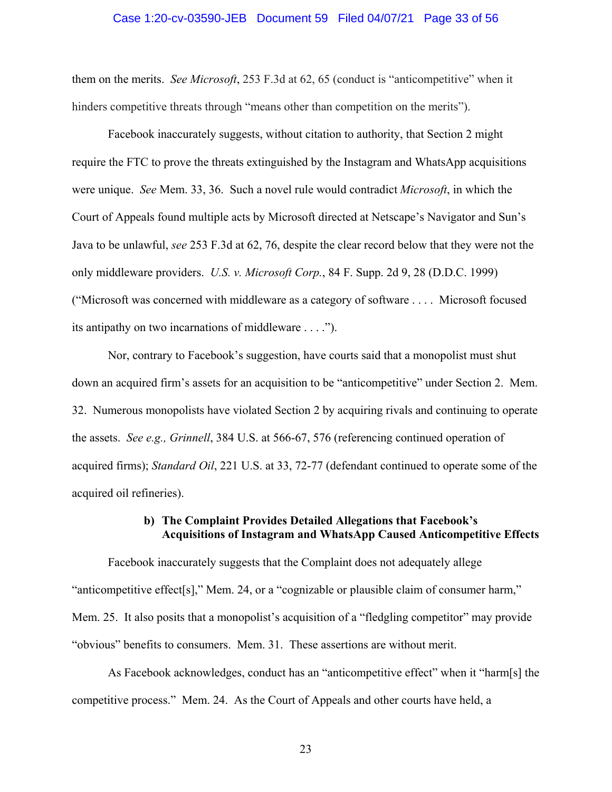#### Case 1:20-cv-03590-JEB Document 59 Filed 04/07/21 Page 33 of 56

<span id="page-32-0"></span>hinders competitive threats through "means other than competition on the merits").<br>Facebook inaccurately suggests, without citation to authority, that Section 2 might them on the merits. *See Microsoft*, 253 F.3d at 62, 65 (conduct is "anticompetitive" when it

require the FTC to prove the threats extinguished by the Instagram and WhatsApp acquisitions were unique. *See* Mem. 33, 36. Such a novel rule would contradict *Microsoft*, in which the Court of Appeals found multiple acts by Microsoft directed at Netscape's Navigator and Sun's Java to be unlawful, *see* 253 F.3d at 62, 76, despite the clear record below that they were not the only middleware providers. *U.S. v. Microsoft Corp.*, 84 F. Supp. 2d 9, 28 (D.D.C. 1999) ("Microsoft was concerned with middleware as a category of software . . . . Microsoft focused its antipathy on two incarnations of middleware . . . .").

Nor, contrary to Facebook's suggestion, have courts said that a monopolist must shut down an acquired firm's assets for an acquisition to be "anticompetitive" under Section 2. Mem. 32. Numerous monopolists have violated Section 2 by acquiring rivals and continuing to operate the assets. *See e.g., Grinnell*, 384 U.S. at 566-67, 576 (referencing continued operation of acquired firms); *Standard Oil*, 221 U.S. at 33, 72-77 (defendant continued to operate some of the acquired oil refineries).

# **b) The Complaint Provides Detailed Allegations that Facebook's Acquisitions of Instagram and WhatsApp Caused Anticompetitive Effects**

Facebook inaccurately suggests that the Complaint does not adequately allege "anticompetitive effect[s]," Mem. 24, or a "cognizable or plausible claim of consumer harm," Mem. 25. It also posits that a monopolist's acquisition of a "fledgling competitor" may provide "obvious" benefits to consumers. Mem. 31. These assertions are without merit.

As Facebook acknowledges, conduct has an "anticompetitive effect" when it "harm[s] the competitive process." Mem. 24. As the Court of Appeals and other courts have held, a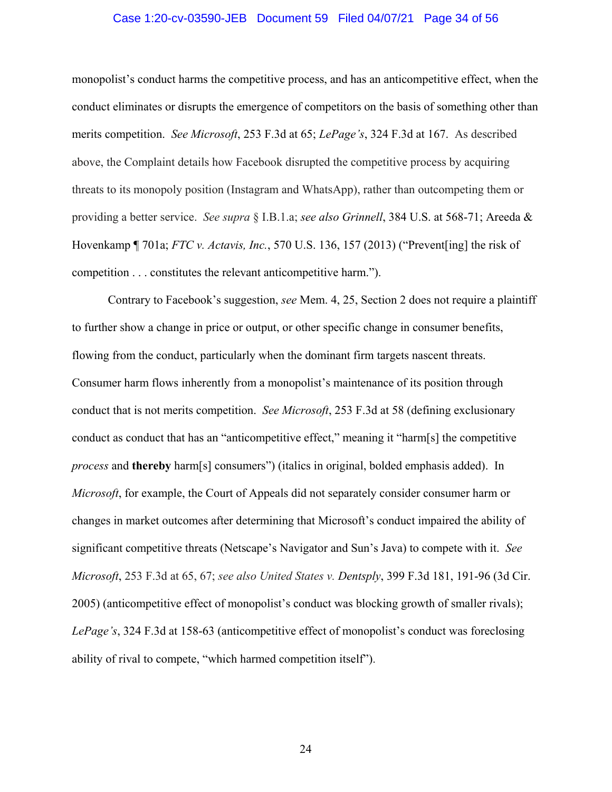#### Case 1:20-cv-03590-JEB Document 59 Filed 04/07/21 Page 34 of 56

<span id="page-33-0"></span>monopolist's conduct harms the competitive process, and has an anticompetitive effect, when the conduct eliminates or disrupts the emergence of competitors on the basis of something other than merits competition. *See Microsoft*, 253 F.3d at 65; *LePage's*, 324 F.3d at 167. As described above, the Complaint details how Facebook disrupted the competitive process by acquiring threats to its monopoly position (Instagram and WhatsApp), rather than outcompeting them or providing a better service. *See supra* § I.B.1.a; *see also Grinnell*, 384 U.S. at 568-71; Areeda & Hovenkamp ¶ 701a; *FTC v. Actavis, Inc.*, 570 U.S. 136, 157 (2013) ("Prevent[ing] the risk of competition . . . constitutes the relevant anticompetitive harm.").

Contrary to Facebook's suggestion, *see* Mem. 4, 25, Section 2 does not require a plaintiff to further show a change in price or output, or other specific change in consumer benefits, flowing from the conduct, particularly when the dominant firm targets nascent threats. Consumer harm flows inherently from a monopolist's maintenance of its position through conduct that is not merits competition. *See Microsoft*, 253 F.3d at 58 (defining exclusionary conduct as conduct that has an "anticompetitive effect," meaning it "harm[s] the competitive *process* and **thereby** harm[s] consumers") (italics in original, bolded emphasis added). In *Microsoft*, for example, the Court of Appeals did not separately consider consumer harm or changes in market outcomes after determining that Microsoft's conduct impaired the ability of significant competitive threats (Netscape's Navigator and Sun's Java) to compete with it. *See Microsoft*, 253 F.3d at 65, 67; *see also United States v. Dentsply*, 399 F.3d 181, 191-96 (3d Cir. 2005) (anticompetitive effect of monopolist's conduct was blocking growth of smaller rivals); *LePage's*, 324 F.3d at 158-63 (anticompetitive effect of monopolist's conduct was foreclosing ability of rival to compete, "which harmed competition itself").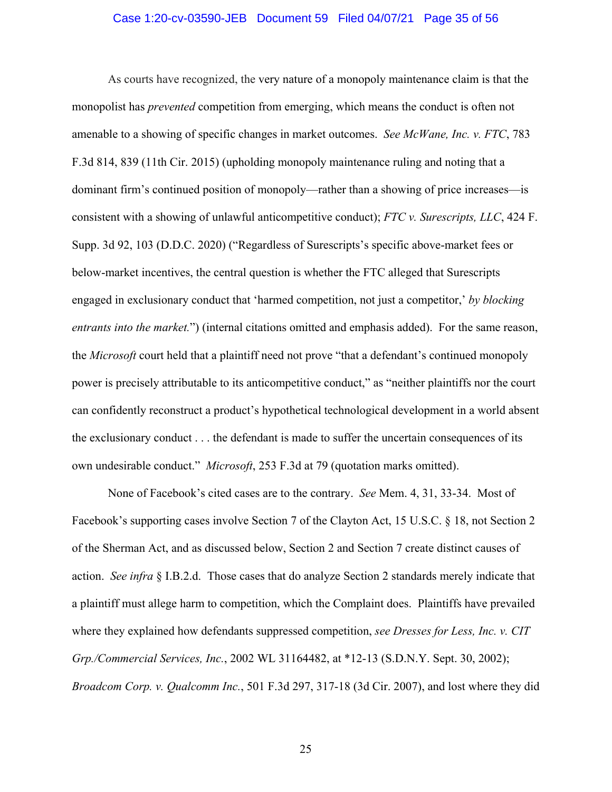#### Case 1:20-cv-03590-JEB Document 59 Filed 04/07/21 Page 35 of 56

<span id="page-34-0"></span>As courts have recognized, the very nature of a monopoly maintenance claim is that the monopolist has *prevented* competition from emerging, which means the conduct is often not amenable to a showing of specific changes in market outcomes. *See McWane, Inc. v. FTC*, 783 F.3d 814, 839 (11th Cir. 2015) (upholding monopoly maintenance ruling and noting that a dominant firm's continued position of monopoly—rather than a showing of price increases—is consistent with a showing of unlawful anticompetitive conduct); *FTC v. Surescripts, LLC*, 424 F. Supp. 3d 92, 103 (D.D.C. 2020) ("Regardless of Surescripts's specific above-market fees or below-market incentives, the central question is whether the FTC alleged that Surescripts engaged in exclusionary conduct that 'harmed competition, not just a competitor,' *by blocking entrants into the market.*") (internal citations omitted and emphasis added). For the same reason, the *Microsoft* court held that a plaintiff need not prove "that a defendant's continued monopoly power is precisely attributable to its anticompetitive conduct," as "neither plaintiffs nor the court can confidently reconstruct a product's hypothetical technological development in a world absent the exclusionary conduct . . . the defendant is made to suffer the uncertain consequences of its own undesirable conduct." *Microsoft*, 253 F.3d at 79 (quotation marks omitted).

None of Facebook's cited cases are to the contrary. *See* Mem. 4, 31, 33-34. Most of Facebook's supporting cases involve Section 7 of the Clayton Act, 15 U.S.C. § 18, not Section 2 of the Sherman Act, and as discussed below, Section 2 and Section 7 create distinct causes of action. *See infra* § I.B.2.d. Those cases that do analyze Section 2 standards merely indicate that a plaintiff must allege harm to competition, which the Complaint does. Plaintiffs have prevailed where they explained how defendants suppressed competition, *see Dresses for Less, Inc. v. CIT Grp./Commercial Services, Inc.*, 2002 WL 31164482, at \*12-13 (S.D.N.Y. Sept. 30, 2002); *Broadcom Corp. v. Qualcomm Inc.*, 501 F.3d 297, 317-18 (3d Cir. 2007), and lost where they did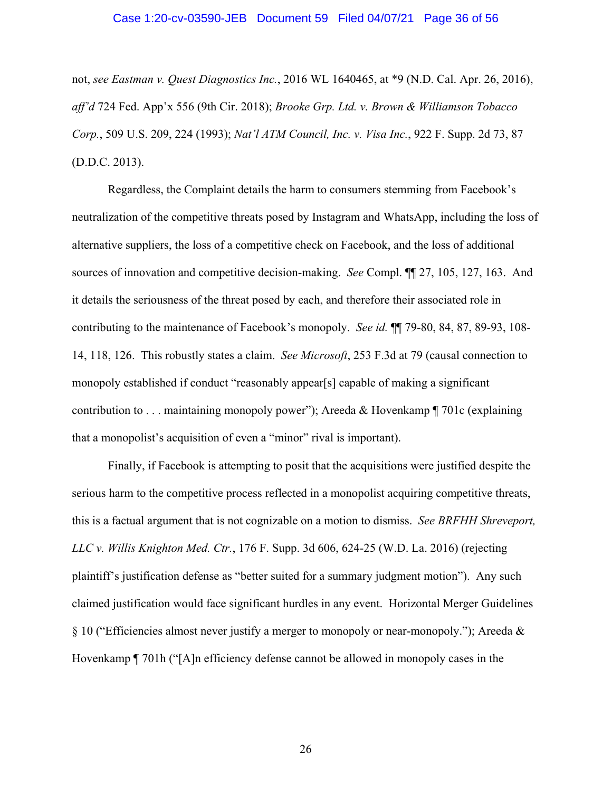#### Case 1:20-cv-03590-JEB Document 59 Filed 04/07/21 Page 36 of 56

<span id="page-35-0"></span>not, *see Eastman v. Quest Diagnostics Inc.*, 2016 WL 1640465, at \*9 (N.D. Cal. Apr. 26, 2016), *aff'd* 724 Fed. App'x 556 (9th Cir. 2018); *Brooke Grp. Ltd. v. Brown & Williamson Tobacco Corp.*, 509 U.S. 209, 224 (1993); *Nat'l ATM Council, Inc. v. Visa Inc.*, 922 F. Supp. 2d 73, 87 (D.D.C. 2013).

Regardless, the Complaint details the harm to consumers stemming from Facebook's neutralization of the competitive threats posed by Instagram and WhatsApp, including the loss of alternative suppliers, the loss of a competitive check on Facebook, and the loss of additional sources of innovation and competitive decision-making. *See* Compl. ¶¶ 27, 105, 127, 163. And it details the seriousness of the threat posed by each, and therefore their associated role in contributing to the maintenance of Facebook's monopoly. *See id.* ¶¶ 79-80, 84, 87, 89-93, 108- 14, 118, 126. This robustly states a claim. *See Microsoft*, 253 F.3d at 79 (causal connection to monopoly established if conduct "reasonably appear[s] capable of making a significant contribution to . . . maintaining monopoly power"); Areeda & Hovenkamp  $\P$  701c (explaining that a monopolist's acquisition of even a "minor" rival is important).

Finally, if Facebook is attempting to posit that the acquisitions were justified despite the serious harm to the competitive process reflected in a monopolist acquiring competitive threats, this is a factual argument that is not cognizable on a motion to dismiss. *See BRFHH Shreveport, LLC v. Willis Knighton Med. Ctr.*, 176 F. Supp. 3d 606, 624-25 (W.D. La. 2016) (rejecting plaintiff's justification defense as "better suited for a summary judgment motion"). Any such claimed justification would face significant hurdles in any event. Horizontal Merger Guidelines § 10 ("Efficiencies almost never justify a merger to monopoly or near-monopoly."); Areeda & Hovenkamp ¶ 701h ("[A]n efficiency defense cannot be allowed in monopoly cases in the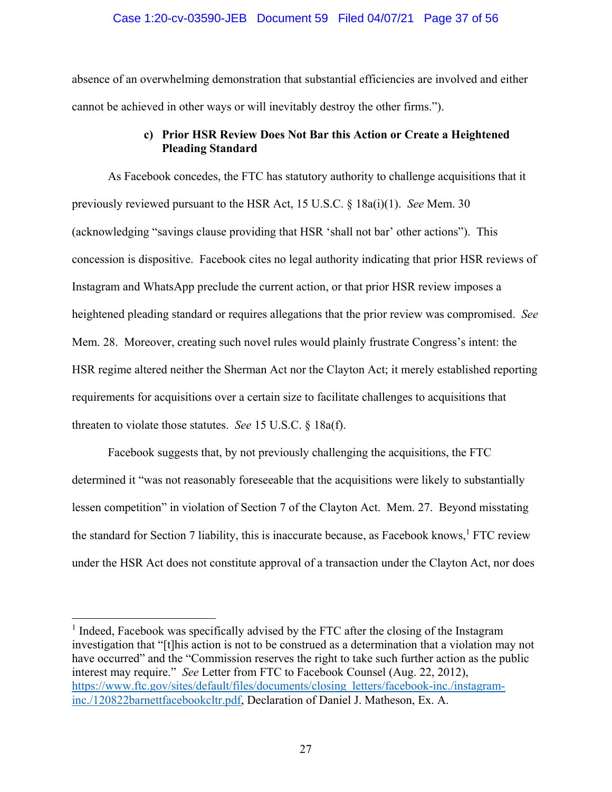#### Case 1:20-cv-03590-JEB Document 59 Filed 04/07/21 Page 37 of 56

<span id="page-36-0"></span>absence of an overwhelming demonstration that substantial efficiencies are involved and either cannot be achieved in other ways or will inevitably destroy the other firms.").

# **c) Prior HSR Review Does Not Bar this Action or Create a Heightened Pleading Standard**

As Facebook concedes, the FTC has statutory authority to challenge acquisitions that it previously reviewed pursuant to the HSR Act, 15 U.S.C. § 18a(i)(1). *See* Mem. 30 (acknowledging "savings clause providing that HSR 'shall not bar' other actions"). This concession is dispositive. Facebook cites no legal authority indicating that prior HSR reviews of Instagram and WhatsApp preclude the current action, or that prior HSR review imposes a heightened pleading standard or requires allegations that the prior review was compromised. *See*  Mem. 28. Moreover, creating such novel rules would plainly frustrate Congress's intent: the HSR regime altered neither the Sherman Act nor the Clayton Act; it merely established reporting requirements for acquisitions over a certain size to facilitate challenges to acquisitions that threaten to violate those statutes. *See* 15 U.S.C. § 18a(f).

Facebook suggests that, by not previously challenging the acquisitions, the FTC determined it "was not reasonably foreseeable that the acquisitions were likely to substantially lessen competition" in violation of Section 7 of the Clayton Act. Mem. 27. Beyond misstating the standard for Section 7 liability, this is inaccurate because, as Facebook knows,<sup>1</sup> FTC review under the HSR Act does not constitute approval of a transaction under the Clayton Act, nor does

<sup>&</sup>lt;sup>1</sup> Indeed, Facebook was specifically advised by the FTC after the closing of the Instagram investigation that "[t]his action is not to be construed as a determination that a violation may not have occurred" and the "Commission reserves the right to take such further action as the public interest may require." *See* Letter from FTC to Facebook Counsel (Aug. 22, 2012), [https://www.ftc.gov/sites/default/files/documents/closing\\_letters/facebook-inc./instagram](https://www.ftc.gov/sites/default/files/documents/closing_letters/facebook-inc./instagram)inc./120822barnettfacebookcltr.pdf, Declaration of Daniel J. Matheson, Ex. A.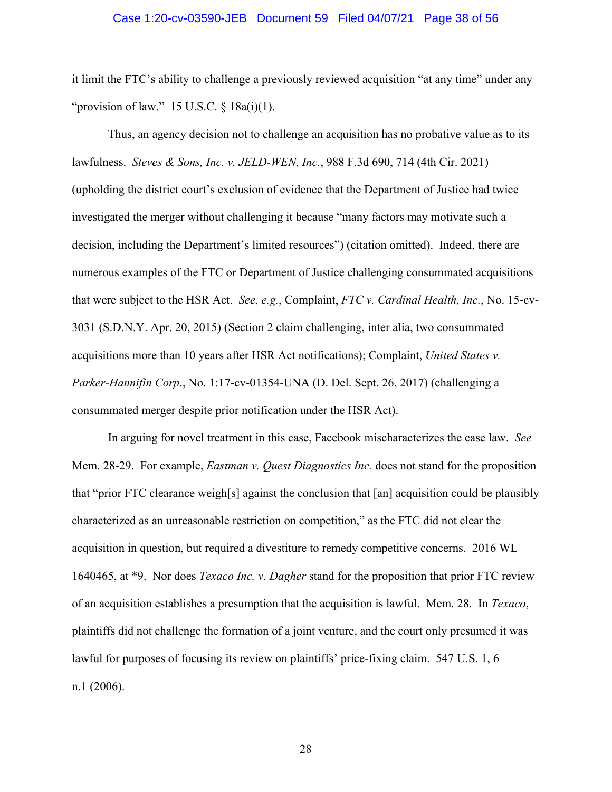#### Case 1:20-cv-03590-JEB Document 59 Filed 04/07/21 Page 38 of 56

<span id="page-37-0"></span>it limit the FTC's ability to challenge a previously reviewed acquisition "at any time" under any "provision of law." 15 U.S.C.  $\S$  18a(i)(1).

Thus, an agency decision not to challenge an acquisition has no probative value as to its lawfulness. *Steves & Sons, Inc. v. JELD-WEN, Inc.*, 988 F.3d 690, 714 (4th Cir. 2021) (upholding the district court's exclusion of evidence that the Department of Justice had twice investigated the merger without challenging it because "many factors may motivate such a decision, including the Department's limited resources") (citation omitted). Indeed, there are numerous examples of the FTC or Department of Justice challenging consummated acquisitions that were subject to the HSR Act. *See, e.g.*, Complaint, *FTC v. Cardinal Health, Inc.*, No. 15-cv-3031 (S.D.N.Y. Apr. 20, 2015) (Section 2 claim challenging, inter alia, two consummated acquisitions more than 10 years after HSR Act notifications); Complaint, *United States v. Parker-Hannifin Corp*., No. 1:17-cv-01354-UNA (D. Del. Sept. 26, 2017) (challenging a consummated merger despite prior notification under the HSR Act).

In arguing for novel treatment in this case, Facebook mischaracterizes the case law. *See*  Mem. 28-29. For example, *Eastman v. Quest Diagnostics Inc.* does not stand for the proposition that "prior FTC clearance weigh[s] against the conclusion that [an] acquisition could be plausibly characterized as an unreasonable restriction on competition," as the FTC did not clear the acquisition in question, but required a divestiture to remedy competitive concerns. 2016 WL 1640465, at \*9. Nor does *Texaco Inc. v. Dagher* stand for the proposition that prior FTC review of an acquisition establishes a presumption that the acquisition is lawful. Mem. 28. In *Texaco*, plaintiffs did not challenge the formation of a joint venture, and the court only presumed it was lawful for purposes of focusing its review on plaintiffs' price-fixing claim. 547 U.S. 1, 6 n.1 (2006).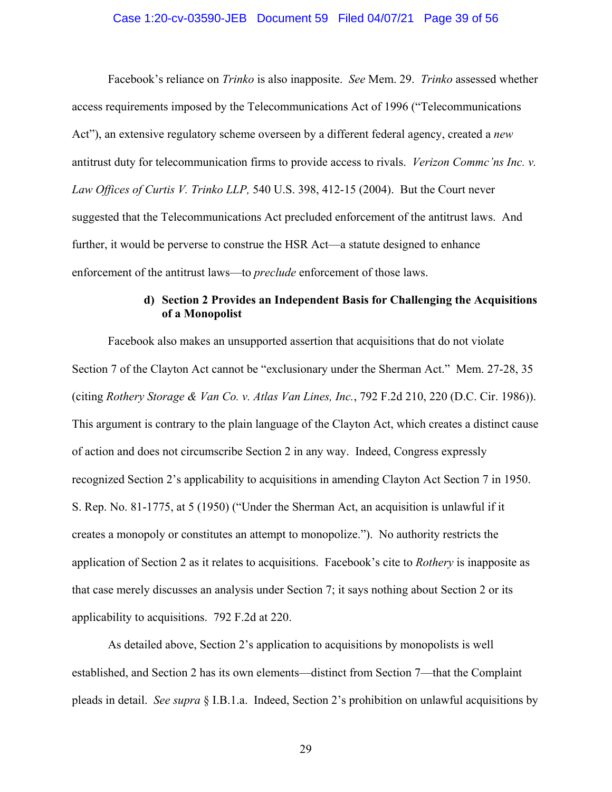#### Case 1:20-cv-03590-JEB Document 59 Filed 04/07/21 Page 39 of 56

<span id="page-38-0"></span> enforcement of the antitrust laws—to *preclude* enforcement of those laws. Facebook's reliance on *Trinko* is also inapposite. *See* Mem. 29. *Trinko* assessed whether access requirements imposed by the Telecommunications Act of 1996 ("Telecommunications Act"), an extensive regulatory scheme overseen by a different federal agency, created a *new*  antitrust duty for telecommunication firms to provide access to rivals. *Verizon Commc'ns Inc. v. Law Offices of Curtis V. Trinko LLP,* 540 U.S. 398, 412-15 (2004). But the Court never suggested that the Telecommunications Act precluded enforcement of the antitrust laws. And further, it would be perverse to construe the HSR Act—a statute designed to enhance

# **d) Section 2 Provides an Independent Basis for Challenging the Acquisitions of a Monopolist**

Facebook also makes an unsupported assertion that acquisitions that do not violate Section 7 of the Clayton Act cannot be "exclusionary under the Sherman Act." Mem. 27-28, 35 (citing *Rothery Storage & Van Co. v. Atlas Van Lines, Inc.*, 792 F.2d 210, 220 (D.C. Cir. 1986)). This argument is contrary to the plain language of the Clayton Act, which creates a distinct cause of action and does not circumscribe Section 2 in any way. Indeed, Congress expressly recognized Section 2's applicability to acquisitions in amending Clayton Act Section 7 in 1950. S. Rep. No. 81-1775, at 5 (1950) ("Under the Sherman Act, an acquisition is unlawful if it creates a monopoly or constitutes an attempt to monopolize."). No authority restricts the application of Section 2 as it relates to acquisitions. Facebook's cite to *Rothery* is inapposite as that case merely discusses an analysis under Section 7; it says nothing about Section 2 or its applicability to acquisitions. 792 F.2d at 220.

As detailed above, Section 2's application to acquisitions by monopolists is well established, and Section 2 has its own elements—distinct from Section 7—that the Complaint pleads in detail. *See supra* § I.B.1.a. Indeed, Section 2's prohibition on unlawful acquisitions by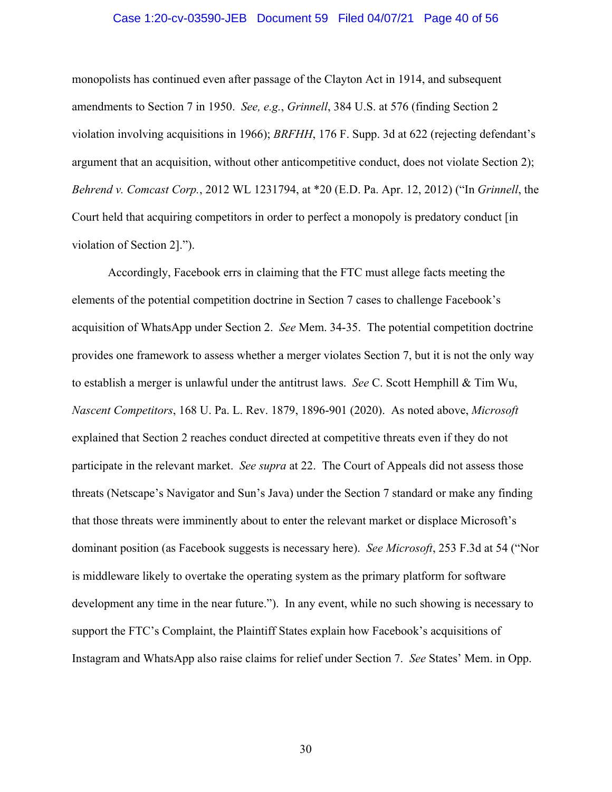#### Case 1:20-cv-03590-JEB Document 59 Filed 04/07/21 Page 40 of 56

<span id="page-39-0"></span>monopolists has continued even after passage of the Clayton Act in 1914, and subsequent amendments to Section 7 in 1950. *See, e.g.*, *Grinnell*, 384 U.S. at 576 (finding Section 2 violation involving acquisitions in 1966); *BRFHH*, 176 F. Supp. 3d at 622 (rejecting defendant's argument that an acquisition, without other anticompetitive conduct, does not violate Section 2); *Behrend v. Comcast Corp.*, 2012 WL 1231794, at \*20 (E.D. Pa. Apr. 12, 2012) ("In *Grinnell*, the Court held that acquiring competitors in order to perfect a monopoly is predatory conduct [in violation of Section 2].").

Accordingly, Facebook errs in claiming that the FTC must allege facts meeting the elements of the potential competition doctrine in Section 7 cases to challenge Facebook's acquisition of WhatsApp under Section 2. *See* Mem. 34-35. The potential competition doctrine provides one framework to assess whether a merger violates Section 7, but it is not the only way to establish a merger is unlawful under the antitrust laws. *See* C. Scott Hemphill & Tim Wu, *Nascent Competitors*, 168 U. Pa. L. Rev. 1879, 1896-901 (2020). As noted above, *Microsoft*  explained that Section 2 reaches conduct directed at competitive threats even if they do not participate in the relevant market. *See supra* at 22. The Court of Appeals did not assess those threats (Netscape's Navigator and Sun's Java) under the Section 7 standard or make any finding that those threats were imminently about to enter the relevant market or displace Microsoft's dominant position (as Facebook suggests is necessary here). *See Microsoft*, 253 F.3d at 54 ("Nor is middleware likely to overtake the operating system as the primary platform for software development any time in the near future."). In any event, while no such showing is necessary to support the FTC's Complaint, the Plaintiff States explain how Facebook's acquisitions of Instagram and WhatsApp also raise claims for relief under Section 7. *See* States' Mem. in Opp.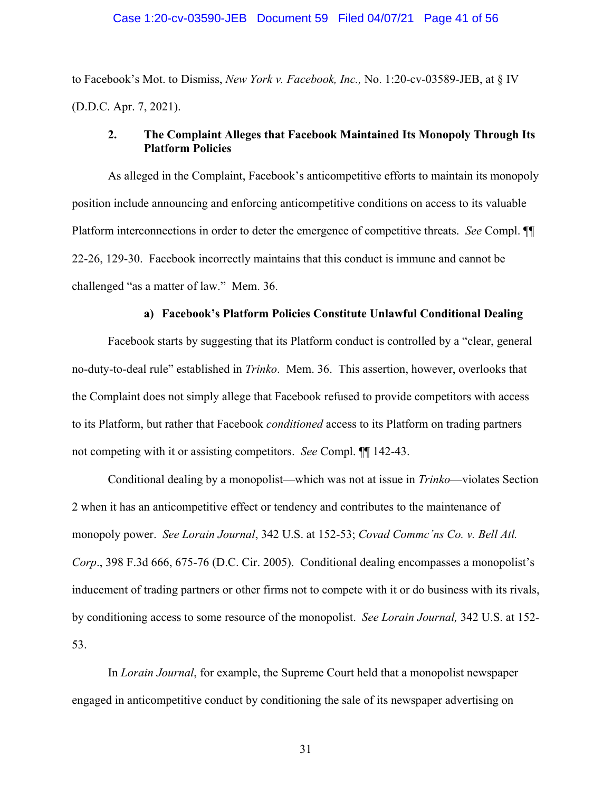#### Case 1:20-cv-03590-JEB Document 59 Filed 04/07/21 Page 41 of 56

<span id="page-40-0"></span>to Facebook's Mot. to Dismiss, *New York v. Facebook, Inc.,* No. 1:20-cv-03589-JEB, at § IV (D.D.C. Apr. 7, 2021).

# **2. The Complaint Alleges that Facebook Maintained Its Monopoly Through Its Platform Policies**

As alleged in the Complaint, Facebook's anticompetitive efforts to maintain its monopoly position include announcing and enforcing anticompetitive conditions on access to its valuable Platform interconnections in order to deter the emergence of competitive threats. *See* Compl. ¶¶ 22-26, 129-30. Facebook incorrectly maintains that this conduct is immune and cannot be challenged "as a matter of law." Mem. 36.

# **a) Facebook's Platform Policies Constitute Unlawful Conditional Dealing**

Facebook starts by suggesting that its Platform conduct is controlled by a "clear, general no-duty-to-deal rule" established in *Trinko*. Mem. 36. This assertion, however, overlooks that the Complaint does not simply allege that Facebook refused to provide competitors with access to its Platform, but rather that Facebook *conditioned* access to its Platform on trading partners not competing with it or assisting competitors. *See* Compl. ¶¶ 142-43.

Conditional dealing by a monopolist—which was not at issue in *Trinko*—violates Section 2 when it has an anticompetitive effect or tendency and contributes to the maintenance of monopoly power. *See Lorain Journal*, 342 U.S. at 152-53; *Covad Commc'ns Co. v. Bell Atl. Corp*., 398 F.3d 666, 675-76 (D.C. Cir. 2005). Conditional dealing encompasses a monopolist's inducement of trading partners or other firms not to compete with it or do business with its rivals, by conditioning access to some resource of the monopolist. *See Lorain Journal,* 342 U.S. at 152- 53.

In *Lorain Journal*, for example, the Supreme Court held that a monopolist newspaper engaged in anticompetitive conduct by conditioning the sale of its newspaper advertising on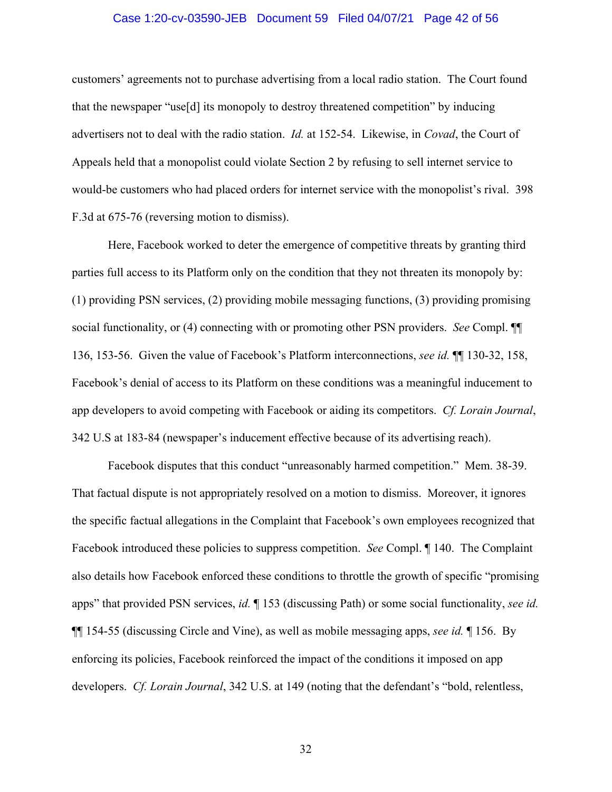#### Case 1:20-cv-03590-JEB Document 59 Filed 04/07/21 Page 42 of 56

customers' agreements not to purchase advertising from a local radio station. The Court found that the newspaper "use[d] its monopoly to destroy threatened competition" by inducing advertisers not to deal with the radio station. *Id.* at 152-54. Likewise, in *Covad*, the Court of Appeals held that a monopolist could violate Section 2 by refusing to sell internet service to would-be customers who had placed orders for internet service with the monopolist's rival. 398 F.3d at 675-76 (reversing motion to dismiss).

Here, Facebook worked to deter the emergence of competitive threats by granting third parties full access to its Platform only on the condition that they not threaten its monopoly by: (1) providing PSN services, (2) providing mobile messaging functions, (3) providing promising social functionality, or (4) connecting with or promoting other PSN providers. *See* Compl. ¶¶ 136, 153-56. Given the value of Facebook's Platform interconnections, *see id.* ¶¶ 130-32, 158, Facebook's denial of access to its Platform on these conditions was a meaningful inducement to app developers to avoid competing with Facebook or aiding its competitors. *Cf. Lorain Journal*, 342 U.S at 183-84 (newspaper's inducement effective because of its advertising reach).

Facebook disputes that this conduct "unreasonably harmed competition." Mem. 38-39. That factual dispute is not appropriately resolved on a motion to dismiss. Moreover, it ignores the specific factual allegations in the Complaint that Facebook's own employees recognized that Facebook introduced these policies to suppress competition. *See* Compl. ¶ 140. The Complaint also details how Facebook enforced these conditions to throttle the growth of specific "promising apps" that provided PSN services, *id.* ¶ 153 (discussing Path) or some social functionality, *see id.*  ¶¶ 154-55 (discussing Circle and Vine), as well as mobile messaging apps, *see id.* ¶ 156. By enforcing its policies, Facebook reinforced the impact of the conditions it imposed on app developers. *Cf. Lorain Journal*, 342 U.S. at 149 (noting that the defendant's "bold, relentless,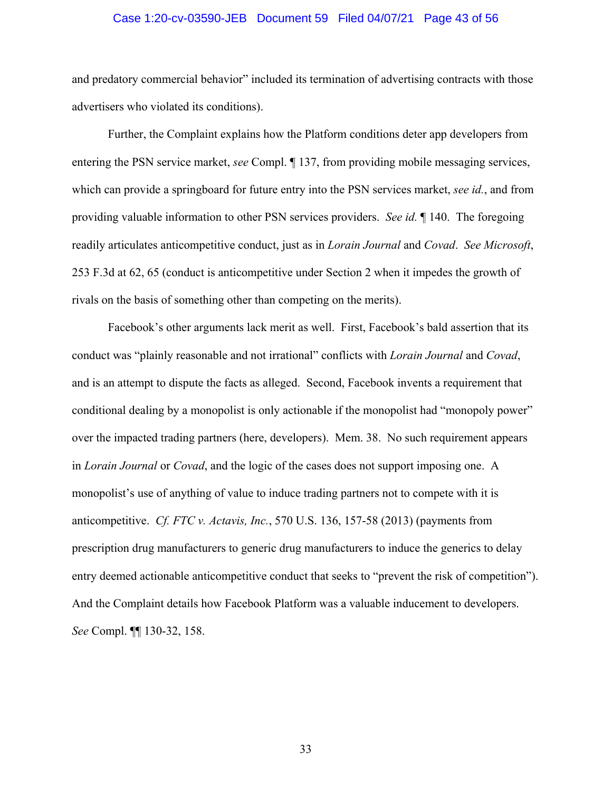#### Case 1:20-cv-03590-JEB Document 59 Filed 04/07/21 Page 43 of 56

<span id="page-42-0"></span>and predatory commercial behavior" included its termination of advertising contracts with those advertisers who violated its conditions).

Further, the Complaint explains how the Platform conditions deter app developers from entering the PSN service market, *see* Compl. ¶ 137, from providing mobile messaging services, which can provide a springboard for future entry into the PSN services market, *see id.*, and from providing valuable information to other PSN services providers. *See id.* ¶ 140. The foregoing readily articulates anticompetitive conduct, just as in *Lorain Journal* and *Covad*. *See Microsoft*, 253 F.3d at 62, 65 (conduct is anticompetitive under Section 2 when it impedes the growth of rivals on the basis of something other than competing on the merits).

Facebook's other arguments lack merit as well. First, Facebook's bald assertion that its conduct was "plainly reasonable and not irrational" conflicts with *Lorain Journal* and *Covad*, and is an attempt to dispute the facts as alleged. Second, Facebook invents a requirement that conditional dealing by a monopolist is only actionable if the monopolist had "monopoly power" over the impacted trading partners (here, developers). Mem. 38. No such requirement appears in *Lorain Journal* or *Covad*, and the logic of the cases does not support imposing one. A monopolist's use of anything of value to induce trading partners not to compete with it is anticompetitive. *Cf. FTC v. Actavis, Inc.*, 570 U.S. 136, 157-58 (2013) (payments from prescription drug manufacturers to generic drug manufacturers to induce the generics to delay entry deemed actionable anticompetitive conduct that seeks to "prevent the risk of competition"). And the Complaint details how Facebook Platform was a valuable inducement to developers. *See* Compl. ¶¶ 130-32, 158.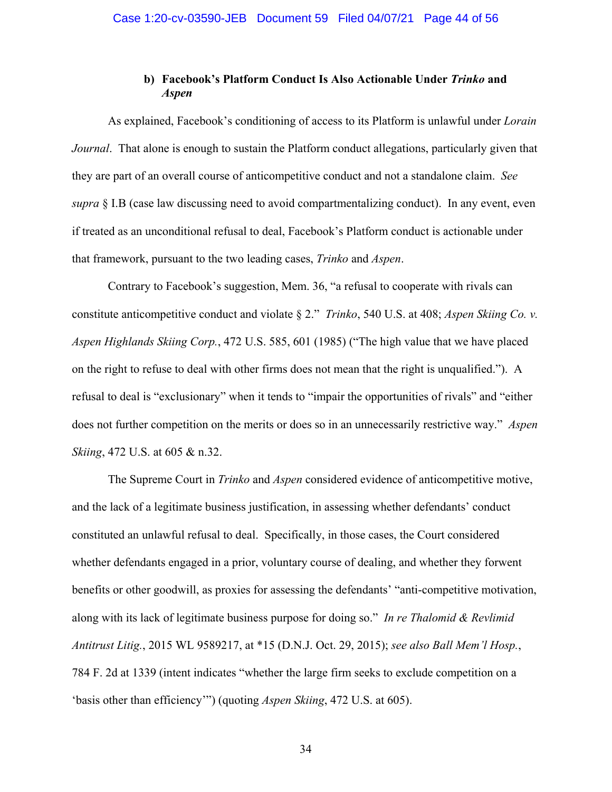# **b) Facebook's Platform Conduct Is Also Actionable Under** *Trinko* **and**  *Aspen*

<span id="page-43-0"></span>As explained, Facebook's conditioning of access to its Platform is unlawful under *Lorain Journal*. That alone is enough to sustain the Platform conduct allegations, particularly given that they are part of an overall course of anticompetitive conduct and not a standalone claim. *See supra* § I.B (case law discussing need to avoid compartmentalizing conduct). In any event, even if treated as an unconditional refusal to deal, Facebook's Platform conduct is actionable under that framework, pursuant to the two leading cases, *Trinko* and *Aspen*.

on the right to refuse to deal with other firms does not mean that the right is unqualified."). A Contrary to Facebook's suggestion, Mem. 36, "a refusal to cooperate with rivals can constitute anticompetitive conduct and violate § 2." *Trinko*, 540 U.S. at 408; *Aspen Skiing Co. v. Aspen Highlands Skiing Corp.*, 472 U.S. 585, 601 (1985) ("The high value that we have placed refusal to deal is "exclusionary" when it tends to "impair the opportunities of rivals" and "either does not further competition on the merits or does so in an unnecessarily restrictive way." *Aspen Skiing*, 472 U.S. at 605 & n.32.

The Supreme Court in *Trinko* and *Aspen* considered evidence of anticompetitive motive, and the lack of a legitimate business justification, in assessing whether defendants' conduct constituted an unlawful refusal to deal. Specifically, in those cases, the Court considered whether defendants engaged in a prior, voluntary course of dealing, and whether they forwent benefits or other goodwill, as proxies for assessing the defendants' "anti-competitive motivation, along with its lack of legitimate business purpose for doing so." *In re Thalomid & Revlimid Antitrust Litig.*, 2015 WL 9589217, at \*15 (D.N.J. Oct. 29, 2015); *see also Ball Mem'l Hosp.*, 784 F. 2d at 1339 (intent indicates "whether the large firm seeks to exclude competition on a 'basis other than efficiency'") (quoting *Aspen Skiing*, 472 U.S. at 605).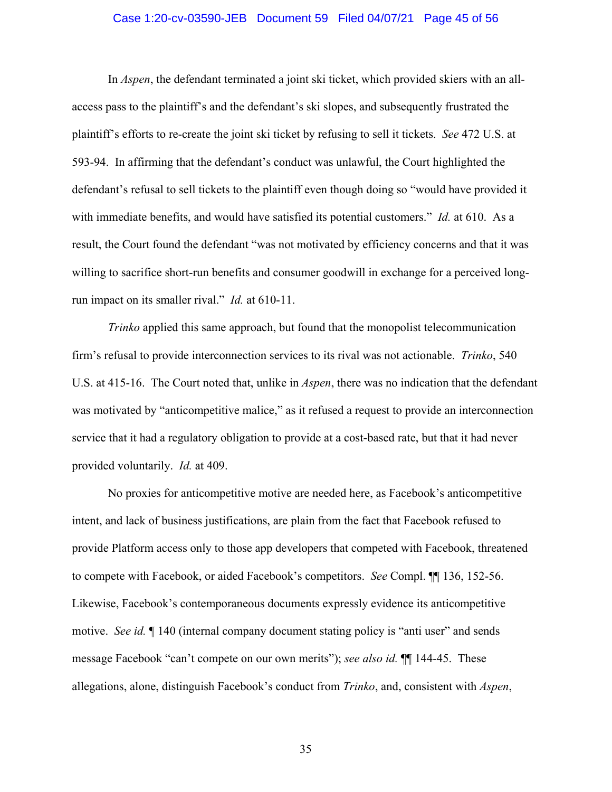#### Case 1:20-cv-03590-JEB Document 59 Filed 04/07/21 Page 45 of 56

 593-94. In affirming that the defendant's conduct was unlawful, the Court highlighted the  run impact on its smaller rival." *Id.* at 610-11. In *Aspen*, the defendant terminated a joint ski ticket, which provided skiers with an allaccess pass to the plaintiff's and the defendant's ski slopes, and subsequently frustrated the plaintiff's efforts to re-create the joint ski ticket by refusing to sell it tickets. *See* 472 U.S. at defendant's refusal to sell tickets to the plaintiff even though doing so "would have provided it with immediate benefits, and would have satisfied its potential customers." *Id.* at 610. As a result, the Court found the defendant "was not motivated by efficiency concerns and that it was willing to sacrifice short-run benefits and consumer goodwill in exchange for a perceived long-

*Trinko* applied this same approach, but found that the monopolist telecommunication firm's refusal to provide interconnection services to its rival was not actionable. *Trinko*, 540 U.S. at 415-16. The Court noted that, unlike in *Aspen*, there was no indication that the defendant was motivated by "anticompetitive malice," as it refused a request to provide an interconnection service that it had a regulatory obligation to provide at a cost-based rate, but that it had never provided voluntarily. *Id.* at 409.

 to compete with Facebook, or aided Facebook's competitors. *See* Compl. ¶¶ 136, 152-56. No proxies for anticompetitive motive are needed here, as Facebook's anticompetitive intent, and lack of business justifications, are plain from the fact that Facebook refused to provide Platform access only to those app developers that competed with Facebook, threatened Likewise, Facebook's contemporaneous documents expressly evidence its anticompetitive motive. *See id.* ¶ 140 (internal company document stating policy is "anti user" and sends message Facebook "can't compete on our own merits"); *see also id.* ¶¶ 144-45. These allegations, alone, distinguish Facebook's conduct from *Trinko*, and, consistent with *Aspen*,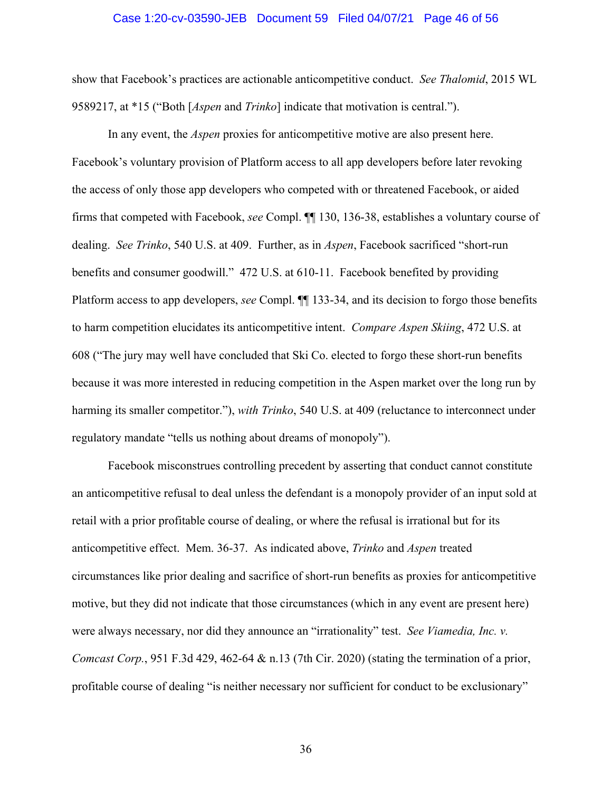#### Case 1:20-cv-03590-JEB Document 59 Filed 04/07/21 Page 46 of 56

<span id="page-45-0"></span>show that Facebook's practices are actionable anticompetitive conduct. *See Thalomid*, 2015 WL 9589217, at \*15 ("Both [*Aspen* and *Trinko*] indicate that motivation is central.").

In any event, the *Aspen* proxies for anticompetitive motive are also present here. Facebook's voluntary provision of Platform access to all app developers before later revoking the access of only those app developers who competed with or threatened Facebook, or aided firms that competed with Facebook, *see* Compl. ¶¶ 130, 136-38, establishes a voluntary course of dealing. *See Trinko*, 540 U.S. at 409. Further, as in *Aspen*, Facebook sacrificed "short-run benefits and consumer goodwill." 472 U.S. at 610-11. Facebook benefited by providing Platform access to app developers, *see* Compl. ¶¶ 133-34, and its decision to forgo those benefits to harm competition elucidates its anticompetitive intent. *Compare Aspen Skiing*, 472 U.S. at 608 ("The jury may well have concluded that Ski Co. elected to forgo these short-run benefits because it was more interested in reducing competition in the Aspen market over the long run by harming its smaller competitor."), *with Trinko*, 540 U.S. at 409 (reluctance to interconnect under regulatory mandate "tells us nothing about dreams of monopoly").

Facebook misconstrues controlling precedent by asserting that conduct cannot constitute an anticompetitive refusal to deal unless the defendant is a monopoly provider of an input sold at retail with a prior profitable course of dealing, or where the refusal is irrational but for its anticompetitive effect. Mem. 36-37. As indicated above, *Trinko* and *Aspen* treated circumstances like prior dealing and sacrifice of short-run benefits as proxies for anticompetitive motive, but they did not indicate that those circumstances (which in any event are present here) were always necessary, nor did they announce an "irrationality" test. *See Viamedia, Inc. v. Comcast Corp.*, 951 F.3d 429, 462-64 & n.13 (7th Cir. 2020) (stating the termination of a prior, profitable course of dealing "is neither necessary nor sufficient for conduct to be exclusionary"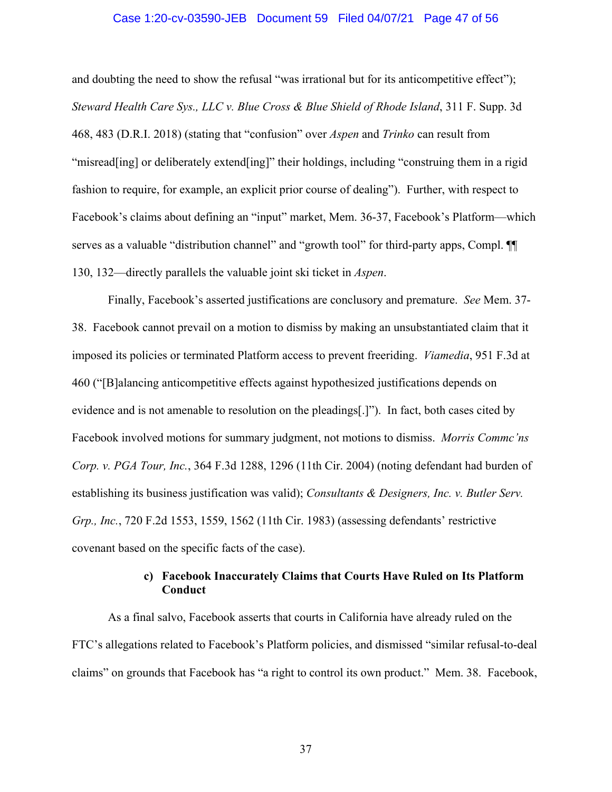#### Case 1:20-cv-03590-JEB Document 59 Filed 04/07/21 Page 47 of 56

<span id="page-46-0"></span>and doubting the need to show the refusal "was irrational but for its anticompetitive effect"); *Steward Health Care Sys., LLC v. Blue Cross & Blue Shield of Rhode Island*, 311 F. Supp. 3d 468, 483 (D.R.I. 2018) (stating that "confusion" over *Aspen* and *Trinko* can result from "misread[ing] or deliberately extend[ing]" their holdings, including "construing them in a rigid fashion to require, for example, an explicit prior course of dealing"). Further, with respect to Facebook's claims about defining an "input" market, Mem. 36-37, Facebook's Platform—which serves as a valuable "distribution channel" and "growth tool" for third-party apps, Compl.  $\P$ 130, 132—directly parallels the valuable joint ski ticket in *Aspen*.

Finally, Facebook's asserted justifications are conclusory and premature. *See* Mem. 37- 38. Facebook cannot prevail on a motion to dismiss by making an unsubstantiated claim that it imposed its policies or terminated Platform access to prevent freeriding. *Viamedia*, 951 F.3d at 460 ("[B]alancing anticompetitive effects against hypothesized justifications depends on evidence and is not amenable to resolution on the pleadings[.]"). In fact, both cases cited by Facebook involved motions for summary judgment, not motions to dismiss. *Morris Commc'ns Corp. v. PGA Tour, Inc.*, 364 F.3d 1288, 1296 (11th Cir. 2004) (noting defendant had burden of establishing its business justification was valid); *Consultants & Designers, Inc. v. Butler Serv. Grp., Inc.*, 720 F.2d 1553, 1559, 1562 (11th Cir. 1983) (assessing defendants' restrictive covenant based on the specific facts of the case).

# **c) Facebook Inaccurately Claims that Courts Have Ruled on Its Platform Conduct**

As a final salvo, Facebook asserts that courts in California have already ruled on the FTC's allegations related to Facebook's Platform policies, and dismissed "similar refusal-to-deal claims" on grounds that Facebook has "a right to control its own product." Mem. 38. Facebook,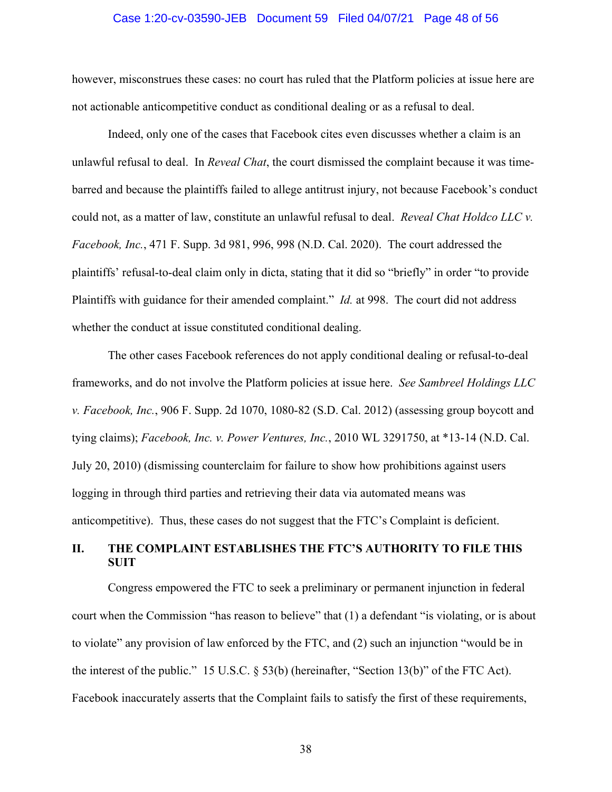#### Case 1:20-cv-03590-JEB Document 59 Filed 04/07/21 Page 48 of 56

<span id="page-47-0"></span>however, misconstrues these cases: no court has ruled that the Platform policies at issue here are not actionable anticompetitive conduct as conditional dealing or as a refusal to deal.

Indeed, only one of the cases that Facebook cites even discusses whether a claim is an unlawful refusal to deal. In *Reveal Chat*, the court dismissed the complaint because it was timebarred and because the plaintiffs failed to allege antitrust injury, not because Facebook's conduct could not, as a matter of law, constitute an unlawful refusal to deal. *Reveal Chat Holdco LLC v. Facebook, Inc.*, 471 F. Supp. 3d 981, 996, 998 (N.D. Cal. 2020). The court addressed the plaintiffs' refusal-to-deal claim only in dicta, stating that it did so "briefly" in order "to provide Plaintiffs with guidance for their amended complaint." *Id.* at 998. The court did not address whether the conduct at issue constituted conditional dealing.

The other cases Facebook references do not apply conditional dealing or refusal-to-deal frameworks, and do not involve the Platform policies at issue here. *See Sambreel Holdings LLC v. Facebook, Inc.*, 906 F. Supp. 2d 1070, 1080-82 (S.D. Cal. 2012) (assessing group boycott and tying claims); *Facebook, Inc. v. Power Ventures, Inc.*, 2010 WL 3291750, at \*13-14 (N.D. Cal. July 20, 2010) (dismissing counterclaim for failure to show how prohibitions against users logging in through third parties and retrieving their data via automated means was anticompetitive). Thus, these cases do not suggest that the FTC's Complaint is deficient.

# **II. THE COMPLAINT ESTABLISHES THE FTC'S AUTHORITY TO FILE THIS SUIT**

Congress empowered the FTC to seek a preliminary or permanent injunction in federal court when the Commission "has reason to believe" that (1) a defendant "is violating, or is about to violate" any provision of law enforced by the FTC, and (2) such an injunction "would be in the interest of the public." 15 U.S.C. § 53(b) (hereinafter, "Section 13(b)" of the FTC Act). Facebook inaccurately asserts that the Complaint fails to satisfy the first of these requirements,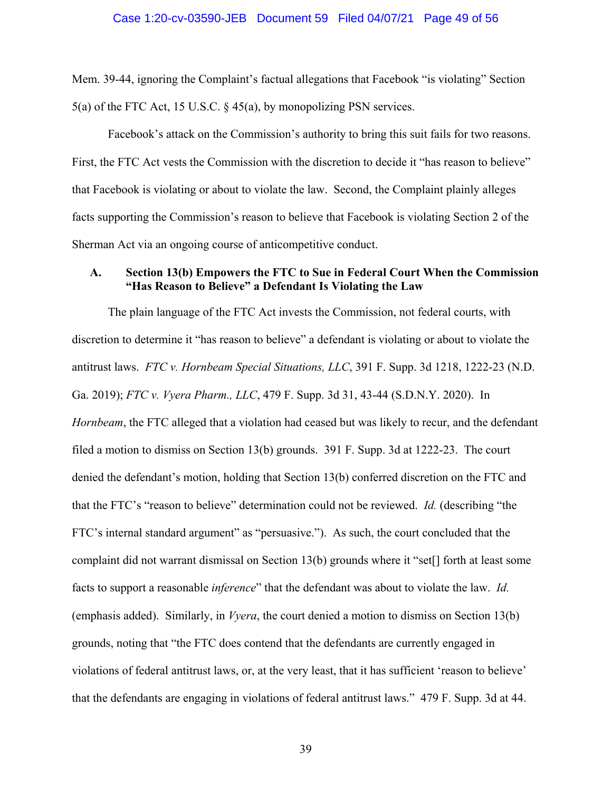<span id="page-48-0"></span>Mem. 39-44, ignoring the Complaint's factual allegations that Facebook "is violating" Section 5(a) of the FTC Act, 15 U.S.C. § 45(a), by monopolizing PSN services.

Facebook's attack on the Commission's authority to bring this suit fails for two reasons. First, the FTC Act vests the Commission with the discretion to decide it "has reason to believe" that Facebook is violating or about to violate the law. Second, the Complaint plainly alleges facts supporting the Commission's reason to believe that Facebook is violating Section 2 of the Sherman Act via an ongoing course of anticompetitive conduct.

## **A. Section 13(b) Empowers the FTC to Sue in Federal Court When the Commission "Has Reason to Believe" a Defendant Is Violating the Law**

The plain language of the FTC Act invests the Commission, not federal courts, with discretion to determine it "has reason to believe" a defendant is violating or about to violate the antitrust laws. *FTC v. Hornbeam Special Situations, LLC*, 391 F. Supp. 3d 1218, 1222-23 (N.D. Ga. 2019); *FTC v. Vyera Pharm., LLC*, 479 F. Supp. 3d 31, 43-44 (S.D.N.Y. 2020). In *Hornbeam*, the FTC alleged that a violation had ceased but was likely to recur, and the defendant filed a motion to dismiss on Section 13(b) grounds. 391 F. Supp. 3d at 1222-23. The court denied the defendant's motion, holding that Section 13(b) conferred discretion on the FTC and that the FTC's "reason to believe" determination could not be reviewed. *Id.* (describing "the FTC's internal standard argument" as "persuasive."). As such, the court concluded that the complaint did not warrant dismissal on Section 13(b) grounds where it "set[] forth at least some facts to support a reasonable *inference*" that the defendant was about to violate the law. *Id.*  (emphasis added). Similarly, in *Vyera*, the court denied a motion to dismiss on Section 13(b) grounds, noting that "the FTC does contend that the defendants are currently engaged in violations of federal antitrust laws, or, at the very least, that it has sufficient 'reason to believe' that the defendants are engaging in violations of federal antitrust laws." 479 F. Supp. 3d at 44.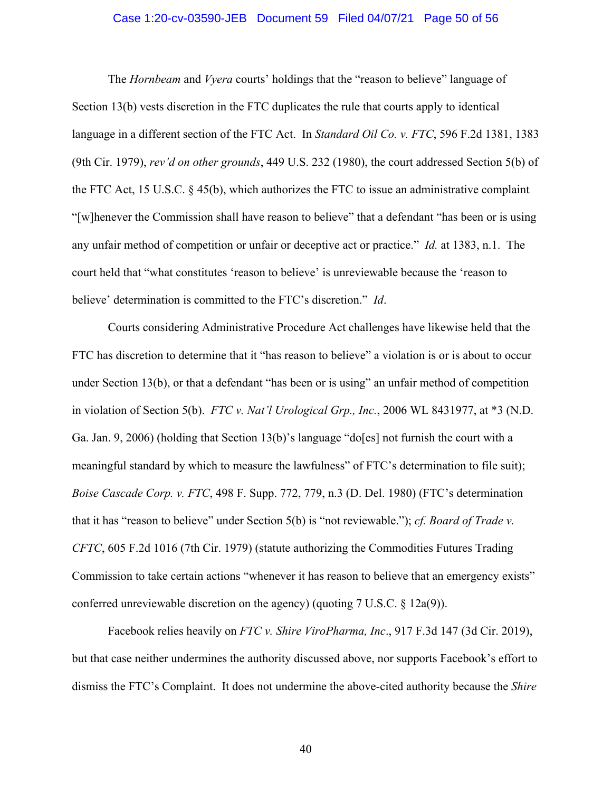#### Case 1:20-cv-03590-JEB Document 59 Filed 04/07/21 Page 50 of 56

<span id="page-49-0"></span>The *Hornbeam* and *Vyera* courts' holdings that the "reason to believe" language of Section 13(b) vests discretion in the FTC duplicates the rule that courts apply to identical language in a different section of the FTC Act. In *Standard Oil Co. v. FTC*, 596 F.2d 1381, 1383 (9th Cir. 1979), *rev'd on other grounds*, 449 U.S. 232 (1980), the court addressed Section 5(b) of the FTC Act, 15 U.S.C.  $\S$  45(b), which authorizes the FTC to issue an administrative complaint "[w]henever the Commission shall have reason to believe" that a defendant "has been or is using any unfair method of competition or unfair or deceptive act or practice." *Id.* at 1383, n.1. The court held that "what constitutes 'reason to believe' is unreviewable because the 'reason to believe' determination is committed to the FTC's discretion." *Id*.

Courts considering Administrative Procedure Act challenges have likewise held that the FTC has discretion to determine that it "has reason to believe" a violation is or is about to occur under Section 13(b), or that a defendant "has been or is using" an unfair method of competition in violation of Section 5(b). *FTC v. Nat'l Urological Grp., Inc.*, 2006 WL 8431977, at \*3 (N.D. Ga. Jan. 9, 2006) (holding that Section 13(b)'s language "do[es] not furnish the court with a meaningful standard by which to measure the lawfulness" of FTC's determination to file suit); *Boise Cascade Corp. v. FTC*, 498 F. Supp. 772, 779, n.3 (D. Del. 1980) (FTC's determination that it has "reason to believe" under Section 5(b) is "not reviewable."); *cf. Board of Trade v. CFTC*, 605 F.2d 1016 (7th Cir. 1979) (statute authorizing the Commodities Futures Trading Commission to take certain actions "whenever it has reason to believe that an emergency exists" conferred unreviewable discretion on the agency) (quoting 7 U.S.C. § 12a(9)).

Facebook relies heavily on *FTC v. Shire ViroPharma, Inc*., 917 F.3d 147 (3d Cir. 2019), but that case neither undermines the authority discussed above, nor supports Facebook's effort to dismiss the FTC's Complaint. It does not undermine the above-cited authority because the *Shire*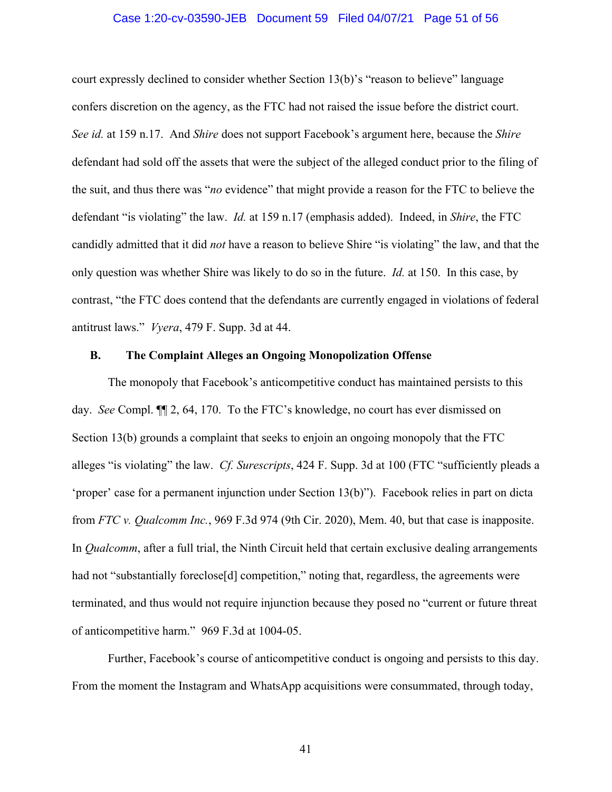#### Case 1:20-cv-03590-JEB Document 59 Filed 04/07/21 Page 51 of 56

<span id="page-50-0"></span>court expressly declined to consider whether Section 13(b)'s "reason to believe" language confers discretion on the agency, as the FTC had not raised the issue before the district court. *See id.* at 159 n.17. And *Shire* does not support Facebook's argument here, because the *Shire*  defendant had sold off the assets that were the subject of the alleged conduct prior to the filing of the suit, and thus there was "*no* evidence" that might provide a reason for the FTC to believe the defendant "is violating" the law. *Id.* at 159 n.17 (emphasis added). Indeed, in *Shire*, the FTC candidly admitted that it did *not* have a reason to believe Shire "is violating" the law, and that the only question was whether Shire was likely to do so in the future. *Id.* at 150. In this case, by contrast, "the FTC does contend that the defendants are currently engaged in violations of federal antitrust laws." *Vyera*, 479 F. Supp. 3d at 44.

#### **B. The Complaint Alleges an Ongoing Monopolization Offense**

The monopoly that Facebook's anticompetitive conduct has maintained persists to this day. *See* Compl. ¶¶ 2, 64, 170. To the FTC's knowledge, no court has ever dismissed on Section 13(b) grounds a complaint that seeks to enjoin an ongoing monopoly that the FTC alleges "is violating" the law. *Cf. Surescripts*, 424 F. Supp. 3d at 100 (FTC "sufficiently pleads a 'proper' case for a permanent injunction under Section 13(b)"). Facebook relies in part on dicta from *FTC v. Qualcomm Inc.*, 969 F.3d 974 (9th Cir. 2020), Mem. 40, but that case is inapposite. In *Qualcomm*, after a full trial, the Ninth Circuit held that certain exclusive dealing arrangements had not "substantially foreclose<sup>[d]</sup> competition," noting that, regardless, the agreements were terminated, and thus would not require injunction because they posed no "current or future threat of anticompetitive harm." 969 F.3d at 1004-05.

Further, Facebook's course of anticompetitive conduct is ongoing and persists to this day. From the moment the Instagram and WhatsApp acquisitions were consummated, through today,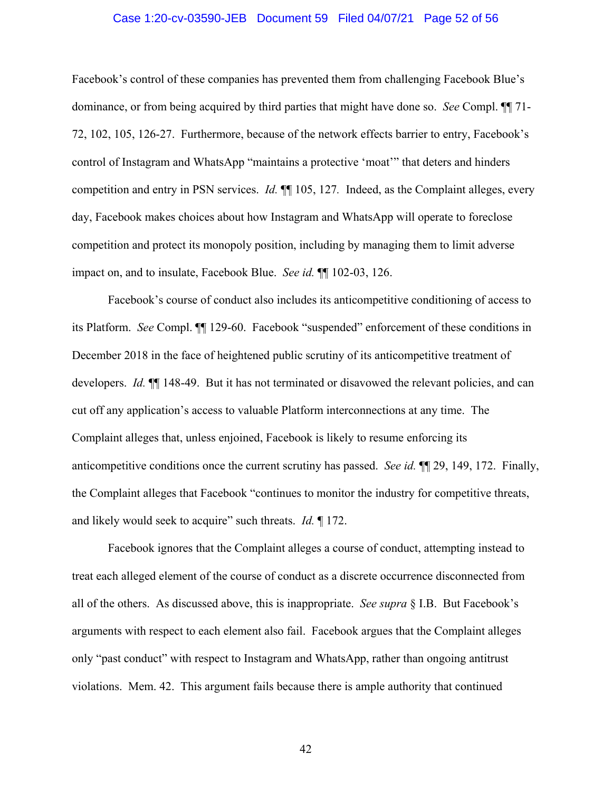#### Case 1:20-cv-03590-JEB Document 59 Filed 04/07/21 Page 52 of 56

Facebook's control of these companies has prevented them from challenging Facebook Blue's dominance, or from being acquired by third parties that might have done so. *See* Compl. ¶¶ 71- 72, 102, 105, 126-27. Furthermore, because of the network effects barrier to entry, Facebook's control of Instagram and WhatsApp "maintains a protective 'moat'" that deters and hinders competition and entry in PSN services. *Id.* ¶¶ 105, 127*.* Indeed, as the Complaint alleges, every day, Facebook makes choices about how Instagram and WhatsApp will operate to foreclose competition and protect its monopoly position, including by managing them to limit adverse impact on, and to insulate, Facebook Blue. *See id.* ¶¶ 102-03, 126.

Facebook's course of conduct also includes its anticompetitive conditioning of access to its Platform. *See* Compl. ¶¶ 129-60. Facebook "suspended" enforcement of these conditions in December 2018 in the face of heightened public scrutiny of its anticompetitive treatment of developers. *Id.* ¶¶ 148-49. But it has not terminated or disavowed the relevant policies, and can cut off any application's access to valuable Platform interconnections at any time. The Complaint alleges that, unless enjoined, Facebook is likely to resume enforcing its anticompetitive conditions once the current scrutiny has passed. *See id.* ¶¶ 29, 149, 172. Finally, the Complaint alleges that Facebook "continues to monitor the industry for competitive threats, and likely would seek to acquire" such threats. *Id.* ¶ 172.

Facebook ignores that the Complaint alleges a course of conduct, attempting instead to treat each alleged element of the course of conduct as a discrete occurrence disconnected from all of the others. As discussed above, this is inappropriate. *See supra* § I.B. But Facebook's arguments with respect to each element also fail. Facebook argues that the Complaint alleges only "past conduct" with respect to Instagram and WhatsApp, rather than ongoing antitrust violations. Mem. 42. This argument fails because there is ample authority that continued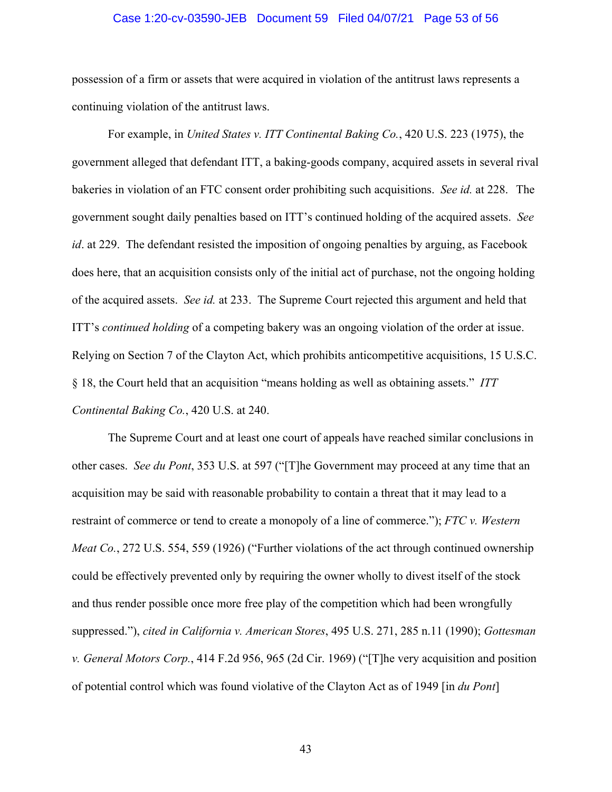#### Case 1:20-cv-03590-JEB Document 59 Filed 04/07/21 Page 53 of 56

<span id="page-52-0"></span>possession of a firm or assets that were acquired in violation of the antitrust laws represents a continuing violation of the antitrust laws.

For example, in *United States v. ITT Continental Baking Co.*, 420 U.S. 223 (1975), the government alleged that defendant ITT, a baking-goods company, acquired assets in several rival bakeries in violation of an FTC consent order prohibiting such acquisitions. *See id.* at 228. The government sought daily penalties based on ITT's continued holding of the acquired assets. *See id*. at 229. The defendant resisted the imposition of ongoing penalties by arguing, as Facebook does here, that an acquisition consists only of the initial act of purchase, not the ongoing holding of the acquired assets. *See id.* at 233. The Supreme Court rejected this argument and held that ITT's *continued holding* of a competing bakery was an ongoing violation of the order at issue. Relying on Section 7 of the Clayton Act, which prohibits anticompetitive acquisitions, 15 U.S.C. § 18, the Court held that an acquisition "means holding as well as obtaining assets." *ITT Continental Baking Co.*, 420 U.S. at 240.

The Supreme Court and at least one court of appeals have reached similar conclusions in other cases. *See du Pont*, 353 U.S. at 597 ("[T]he Government may proceed at any time that an acquisition may be said with reasonable probability to contain a threat that it may lead to a restraint of commerce or tend to create a monopoly of a line of commerce."); *FTC v. Western Meat Co.*, 272 U.S. 554, 559 (1926) ("Further violations of the act through continued ownership could be effectively prevented only by requiring the owner wholly to divest itself of the stock and thus render possible once more free play of the competition which had been wrongfully suppressed."), *cited in California v. American Stores*, 495 U.S. 271, 285 n.11 (1990); *Gottesman v. General Motors Corp.*, 414 F.2d 956, 965 (2d Cir. 1969) ("[T]he very acquisition and position of potential control which was found violative of the Clayton Act as of 1949 [in *du Pont*]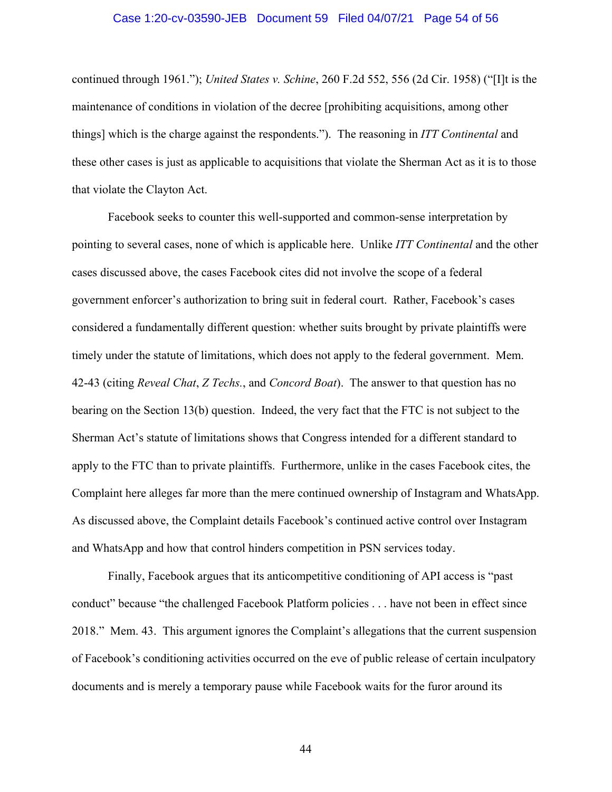#### Case 1:20-cv-03590-JEB Document 59 Filed 04/07/21 Page 54 of 56

<span id="page-53-0"></span>continued through 1961."); *United States v. Schine*, 260 F.2d 552, 556 (2d Cir. 1958) ("[I]t is the maintenance of conditions in violation of the decree [prohibiting acquisitions, among other things] which is the charge against the respondents."). The reasoning in *ITT Continental* and these other cases is just as applicable to acquisitions that violate the Sherman Act as it is to those that violate the Clayton Act.

Facebook seeks to counter this well-supported and common-sense interpretation by pointing to several cases, none of which is applicable here. Unlike *ITT Continental* and the other cases discussed above, the cases Facebook cites did not involve the scope of a federal government enforcer's authorization to bring suit in federal court. Rather, Facebook's cases considered a fundamentally different question: whether suits brought by private plaintiffs were timely under the statute of limitations, which does not apply to the federal government. Mem. 42-43 (citing *Reveal Chat*, *Z Techs.*, and *Concord Boat*). The answer to that question has no bearing on the Section 13(b) question. Indeed, the very fact that the FTC is not subject to the Sherman Act's statute of limitations shows that Congress intended for a different standard to apply to the FTC than to private plaintiffs. Furthermore, unlike in the cases Facebook cites, the Complaint here alleges far more than the mere continued ownership of Instagram and WhatsApp. As discussed above, the Complaint details Facebook's continued active control over Instagram and WhatsApp and how that control hinders competition in PSN services today.

Finally, Facebook argues that its anticompetitive conditioning of API access is "past conduct" because "the challenged Facebook Platform policies . . . have not been in effect since 2018." Mem. 43. This argument ignores the Complaint's allegations that the current suspension of Facebook's conditioning activities occurred on the eve of public release of certain inculpatory documents and is merely a temporary pause while Facebook waits for the furor around its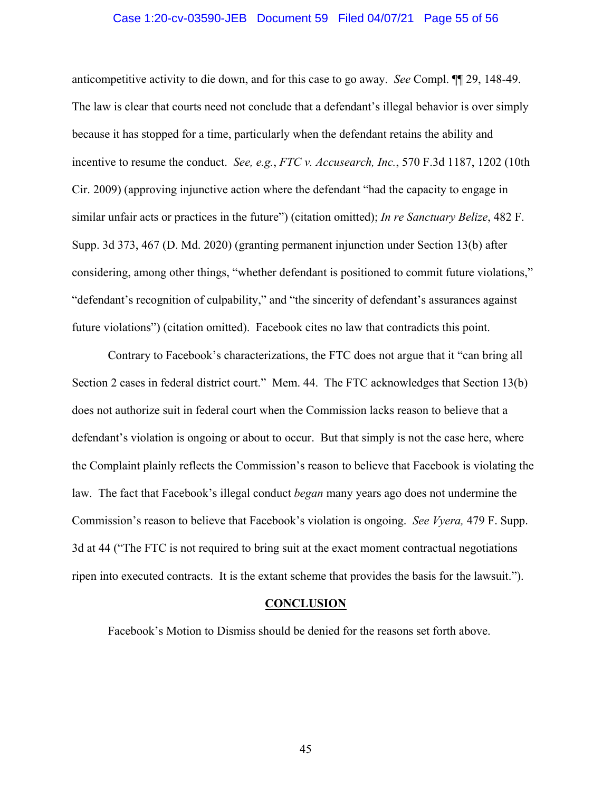#### Case 1:20-cv-03590-JEB Document 59 Filed 04/07/21 Page 55 of 56

<span id="page-54-0"></span>anticompetitive activity to die down, and for this case to go away. *See* Compl. ¶¶ 29, 148-49. The law is clear that courts need not conclude that a defendant's illegal behavior is over simply because it has stopped for a time, particularly when the defendant retains the ability and incentive to resume the conduct. *See, e.g.*, *FTC v. Accusearch, Inc.*, 570 F.3d 1187, 1202 (10th Cir. 2009) (approving injunctive action where the defendant "had the capacity to engage in similar unfair acts or practices in the future") (citation omitted); *In re Sanctuary Belize*, 482 F. Supp. 3d 373, 467 (D. Md. 2020) (granting permanent injunction under Section 13(b) after considering, among other things, "whether defendant is positioned to commit future violations," "defendant's recognition of culpability," and "the sincerity of defendant's assurances against future violations") (citation omitted). Facebook cites no law that contradicts this point.

Contrary to Facebook's characterizations, the FTC does not argue that it "can bring all Section 2 cases in federal district court." Mem. 44. The FTC acknowledges that Section 13(b) does not authorize suit in federal court when the Commission lacks reason to believe that a defendant's violation is ongoing or about to occur. But that simply is not the case here, where the Complaint plainly reflects the Commission's reason to believe that Facebook is violating the law. The fact that Facebook's illegal conduct *began* many years ago does not undermine the Commission's reason to believe that Facebook's violation is ongoing. *See Vyera,* 479 F. Supp. 3d at 44 ("The FTC is not required to bring suit at the exact moment contractual negotiations ripen into executed contracts. It is the extant scheme that provides the basis for the lawsuit.").

#### **CONCLUSION**

Facebook's Motion to Dismiss should be denied for the reasons set forth above.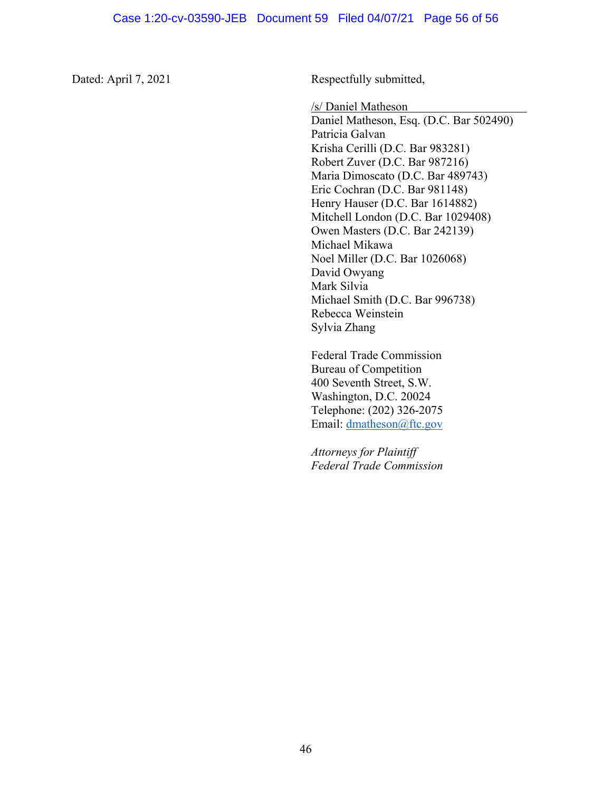Dated: April 7, 2021 Respectfully submitted,

/s/ Daniel Matheson

Daniel Matheson, Esq. (D.C. Bar 502490) Patricia Galvan Krisha Cerilli (D.C. Bar 983281) Robert Zuver (D.C. Bar 987216) Maria Dimoscato (D.C. Bar 489743) Eric Cochran (D.C. Bar 981148) Henry Hauser (D.C. Bar 1614882) Mitchell London (D.C. Bar 1029408) Owen Masters (D.C. Bar 242139) Michael Mikawa Noel Miller (D.C. Bar 1026068) David Owyang Mark Silvia Michael Smith (D.C. Bar 996738) Rebecca Weinstein Sylvia Zhang

Federal Trade Commission Bureau of Competition 400 Seventh Street, S.W. Washington, D.C. 20024 Telephone: (202) 326-2075 Email: [dmatheson@ftc.gov](mailto:dmatheson@ftc.gov)

*Attorneys for Plaintiff Federal Trade Commission*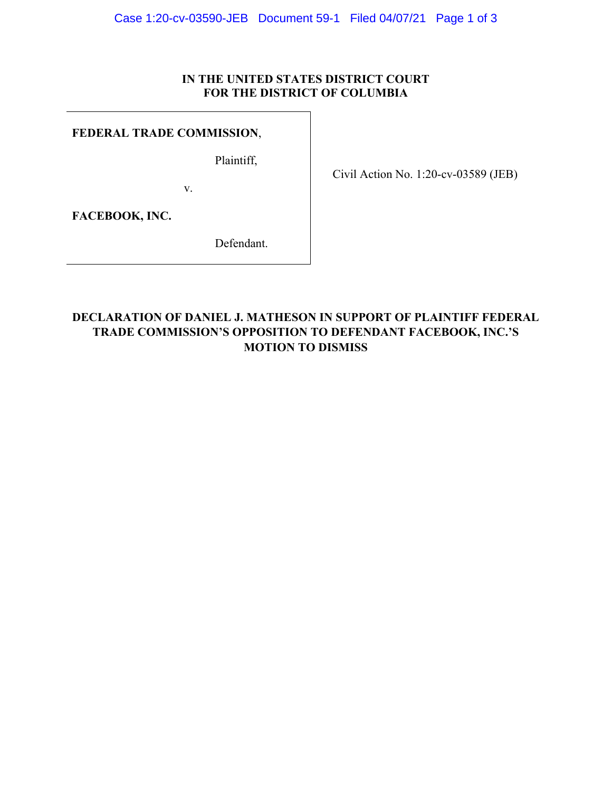# **IN THE UNITED STATES DISTRICT COURT FOR THE DISTRICT OF COLUMBIA**

# **FEDERAL TRADE COMMISSION**,

Plaintiff,

v.

Civil Action No. 1:20-cv-03589 (JEB)

**FACEBOOK, INC.** 

Defendant.

# **DECLARATION OF DANIEL J. MATHESON IN SUPPORT OF PLAINTIFF FEDERAL TRADE COMMISSION'S OPPOSITION TO DEFENDANT FACEBOOK, INC.'S MOTION TO DISMISS**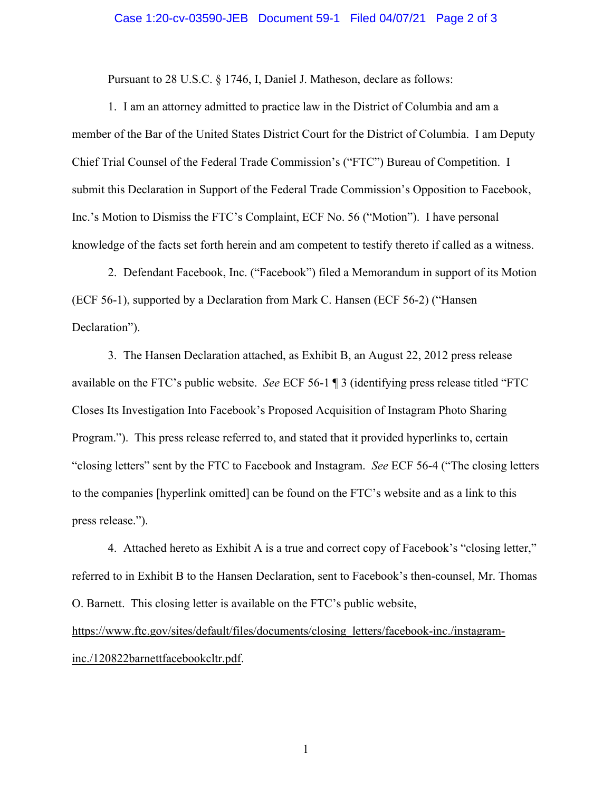#### Case 1:20-cv-03590-JEB Document 59-1 Filed 04/07/21 Page 2 of 3

Pursuant to 28 U.S.C. § 1746, I, Daniel J. Matheson, declare as follows:

1. I am an attorney admitted to practice law in the District of Columbia and am a member of the Bar of the United States District Court for the District of Columbia. I am Deputy Chief Trial Counsel of the Federal Trade Commission's ("FTC") Bureau of Competition. I submit this Declaration in Support of the Federal Trade Commission's Opposition to Facebook, Inc.'s Motion to Dismiss the FTC's Complaint, ECF No. 56 ("Motion"). I have personal knowledge of the facts set forth herein and am competent to testify thereto if called as a witness.

2. Defendant Facebook, Inc. ("Facebook") filed a Memorandum in support of its Motion (ECF 56-1), supported by a Declaration from Mark C. Hansen (ECF 56-2) ("Hansen Declaration").

 "closing letters" sent by the FTC to Facebook and Instagram. *See* ECF 56-4 ("The closing letters 3. The Hansen Declaration attached, as Exhibit B, an August 22, 2012 press release available on the FTC's public website. *See* ECF 56-1 ¶ 3 (identifying press release titled "FTC Closes Its Investigation Into Facebook's Proposed Acquisition of Instagram Photo Sharing Program."). This press release referred to, and stated that it provided hyperlinks to, certain to the companies [hyperlink omitted] can be found on the FTC's website and as a link to this press release.").

4. Attached hereto as Exhibit A is a true and correct copy of Facebook's "closing letter," referred to in Exhibit B to the Hansen Declaration, sent to Facebook's then-counsel, Mr. Thomas O. Barnett. This closing letter is available on the FTC's public website,

[https://www.ftc.gov/sites/default/files/documents/closing\\_letters/facebook-inc./instagram](https://www.ftc.gov/sites/default/files/documents/closing_letters/facebook-inc./instagram)inc./120822barnettfacebookcltr.pdf.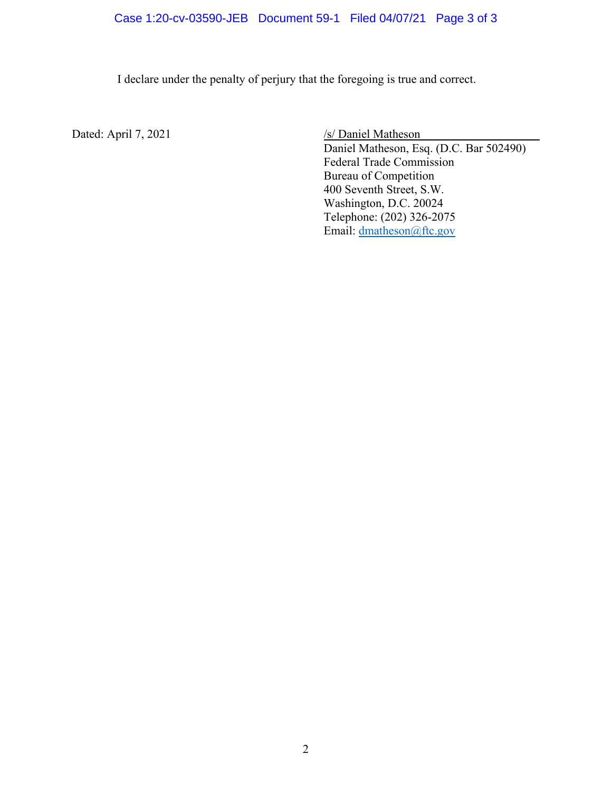I declare under the penalty of perjury that the foregoing is true and correct.

Dated: April 7, 2021 /s/ Daniel Matheson

Daniel Matheson, Esq. (D.C. Bar 502490) Federal Trade Commission Bureau of Competition 400 Seventh Street, S.W. Washington, D.C. 20024 Telephone: (202) 326-2075 Email: [dmatheson@ftc.gov](mailto:dmatheson@ftc.gov)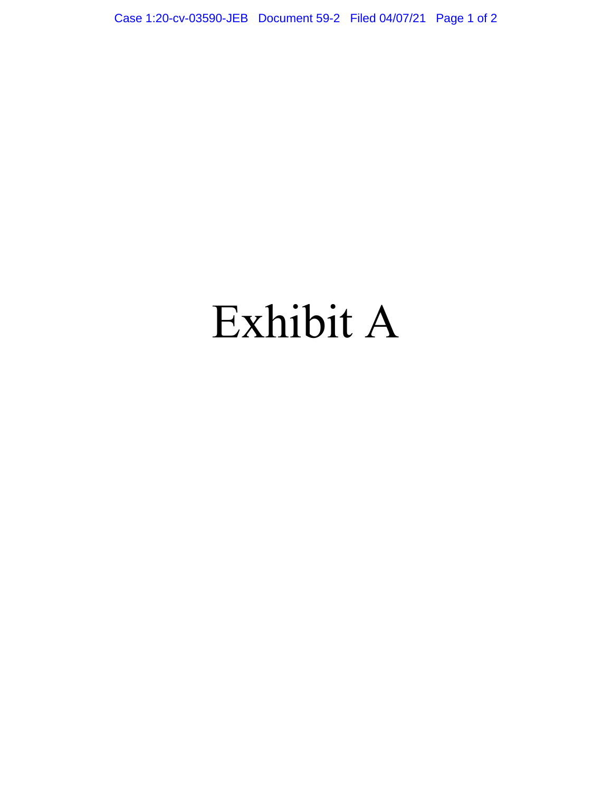[Case 1:2](#page-1-0)0-cv-03590-JEB Document 59-2 Filed 04/07/21 Page 1 of 2

# Exhibit A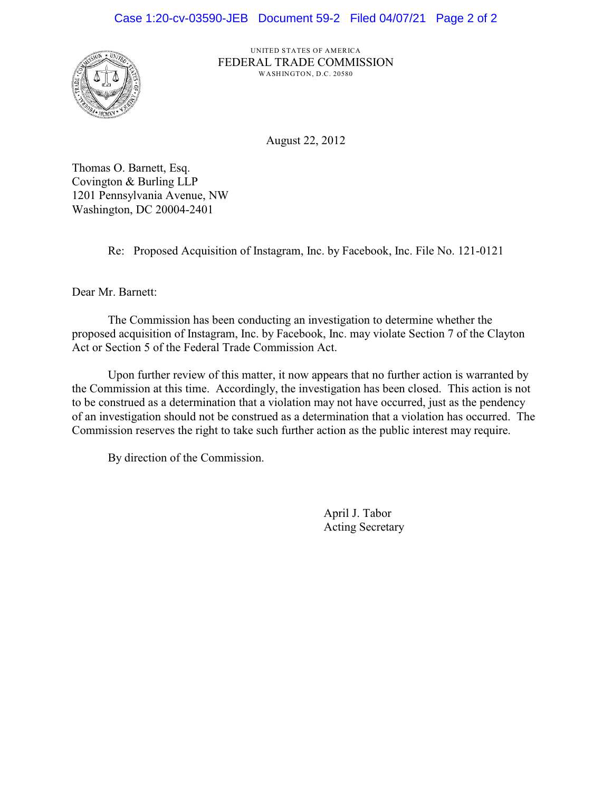# Case 1:20-cv-03590-JEB Document 59-2 Filed 04/07/21 Page 2 of 2



UNITED STATES OF AMERICA FEDERAL TRADE COMMISSION WASHINGTON, D.C. 20580

August 22, 2012

Thomas O. Barnett, Esq. Covington & Burling LLP 1201 Pennsylvania Avenue, NW Washington, DC 20004-2401

Re: Proposed Acquisition of Instagram, Inc. by Facebook, Inc. File No. 121-0121

Dear Mr. Barnett:

The Commission has been conducting an investigation to determine whether the proposed acquisition of Instagram, Inc. by Facebook, Inc. may violate Section 7 of the Clayton Act or Section 5 of the Federal Trade Commission Act.

Upon further review of this matter, it now appears that no further action is warranted by the Commission at this time. Accordingly, the investigation has been closed. This action is not to be construed as a determination that a violation may not have occurred, just as the pendency of an investigation should not be construed as a determination that a violation has occurred. The Commission reserves the right to take such further action as the public interest may require.

By direction of the Commission.

April J. Tabor Acting Secretary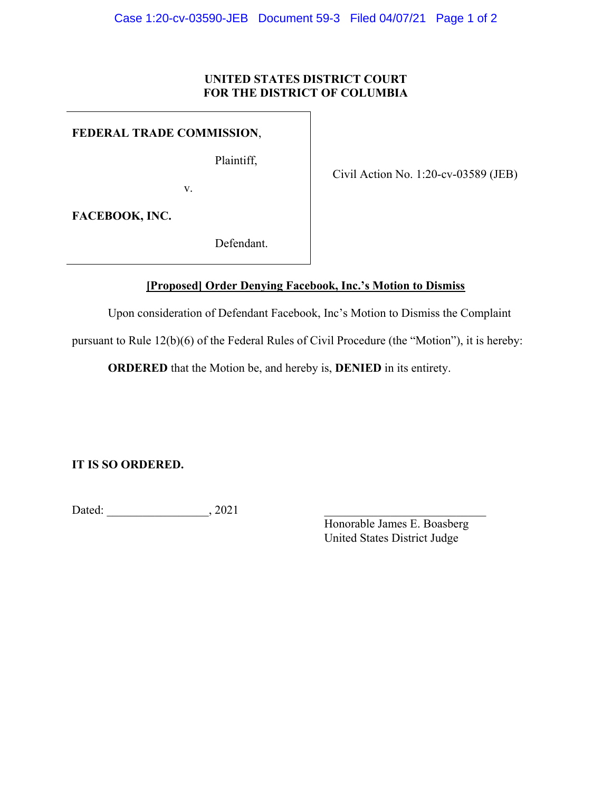# **UNITED STATES DISTRICT COURT FOR THE DISTRICT OF COLUMBIA**

## **FEDERAL TRADE COMMISSION**,

Plaintiff,

v.

Civil Action No. 1:20-cv-03589 (JEB)

**FACEBOOK, INC.** 

Defendant.

# **[Proposed] Order Denying Facebook, Inc.'s Motion to Dismiss**

Upon consideration of Defendant Facebook, Inc's Motion to Dismiss the Complaint

pursuant to Rule 12(b)(6) of the Federal Rules of Civil Procedure (the "Motion"), it is hereby:

**ORDERED** that the Motion be, and hereby is, **DENIED** in its entirety.

**IT IS SO ORDERED.** 

Dated: \_\_\_\_\_\_\_\_\_\_\_\_\_\_\_\_\_\_\_\_\_\_\_, 2021

Honorable James E. Boasberg United States District Judge